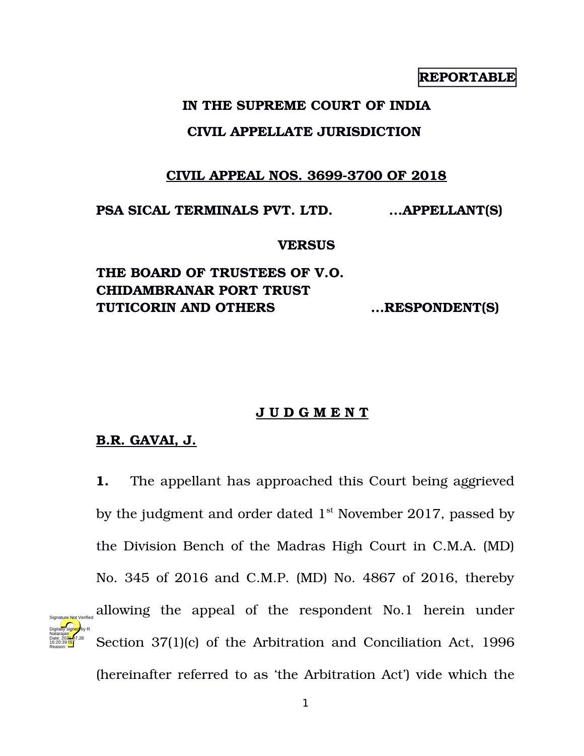# **REPORTABLE**

### **IN THE SUPREME COURT OF INDIA**

### **CIVIL APPELLATE JURISDICTION**

## **CIVIL APPEAL NOS. 3699-3700 OF 2018**

**PSA SICAL TERMINALS PVT. LTD. ...APPELLANT(S)**

#### **VERSUS**

**THE BOARD OF TRUSTEES OF V.O. CHIDAMBRANAR PORT TRUST TUTICORIN AND OTHERS ...RESPONDENT(S)**

### **J U D G M E N T**

### **B.R. GAVAI, J.**

Digitally signed by R Natarajan Date: 2024-07.28 16:20:39 IST Reason:

**1.** The appellant has approached this Court being aggrieved by the judgment and order dated  $1<sup>st</sup>$  November 2017, passed by the Division Bench of the Madras High Court in C.M.A. (MD) No. 345 of 2016 and C.M.P. (MD) No. 4867 of 2016, thereby allowing the appeal of the respondent No.1 herein under Section 37(1)(c) of the Arbitration and Conciliation Act, 1996 Signature Not Verified

(hereinafter referred to as 'the Arbitration Act') vide which the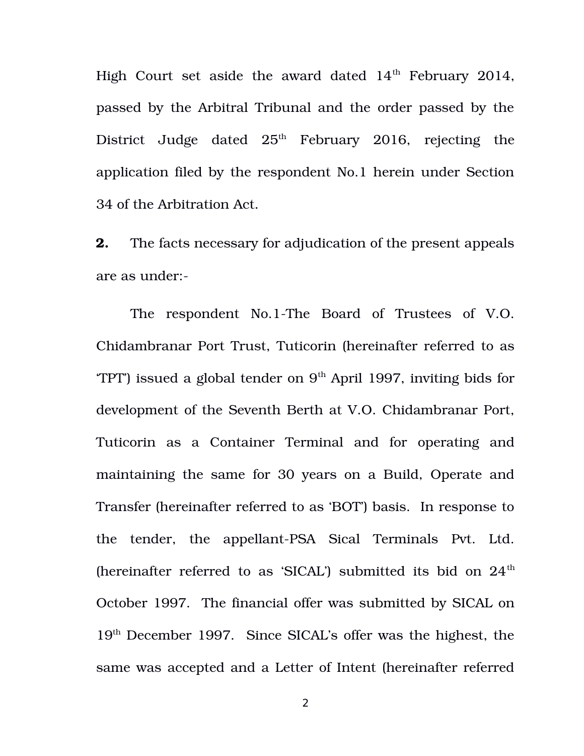High Court set aside the award dated  $14<sup>th</sup>$  February 2014, passed by the Arbitral Tribunal and the order passed by the District Judge dated  $25<sup>th</sup>$  February 2016, rejecting the application filed by the respondent No.1 herein under Section 34 of the Arbitration Act.

**2.** The facts necessary for adjudication of the present appeals are as under:

The respondent No.1-The Board of Trustees of V.O. Chidambranar Port Trust, Tuticorin (hereinafter referred to as  $TPT'$ ) issued a global tender on  $9<sup>th</sup>$  April 1997, inviting bids for development of the Seventh Berth at V.O. Chidambranar Port, Tuticorin as a Container Terminal and for operating and maintaining the same for 30 years on a Build, Operate and Transfer (hereinafter referred to as 'BOT') basis. In response to the tender, the appellant-PSA Sical Terminals Pvt. Ltd. (hereinafter referred to as 'SICAL') submitted its bid on  $24<sup>th</sup>$ October 1997. The financial offer was submitted by SICAL on 19th December 1997. Since SICAL's offer was the highest, the same was accepted and a Letter of Intent (hereinafter referred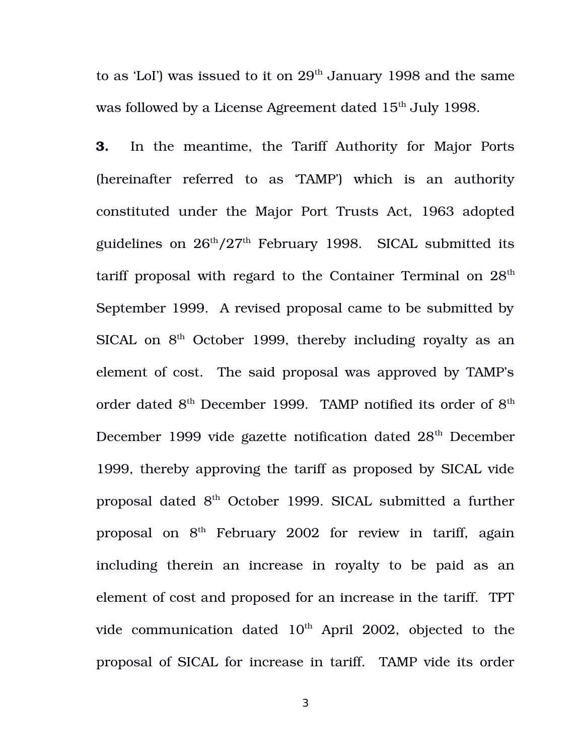to as 'LoI') was issued to it on  $29<sup>th</sup>$  January 1998 and the same was followed by a License Agreement dated 15<sup>th</sup> July 1998.

**3.** In the meantime, the Tariff Authority for Major Ports (hereinafter referred to as 'TAMP') which is an authority constituted under the Major Port Trusts Act, 1963 adopted guidelines on  $26<sup>th</sup>/27<sup>th</sup>$  February 1998. SICAL submitted its tariff proposal with regard to the Container Terminal on  $28<sup>th</sup>$ September 1999. A revised proposal came to be submitted by SICAL on  $8<sup>th</sup>$  October 1999, thereby including royalty as an element of cost. The said proposal was approved by TAMP's order dated  $8^{\text{th}}$  December 1999. TAMP notified its order of  $8^{\text{th}}$ December 1999 vide gazette notification dated 28<sup>th</sup> December 1999, thereby approving the tariff as proposed by SICAL vide proposal dated 8th October 1999. SICAL submitted a further proposal on  $8<sup>th</sup>$  February 2002 for review in tariff, again including therein an increase in royalty to be paid as an element of cost and proposed for an increase in the tariff. TPT vide communication dated  $10<sup>th</sup>$  April 2002, objected to the proposal of SICAL for increase in tariff. TAMP vide its order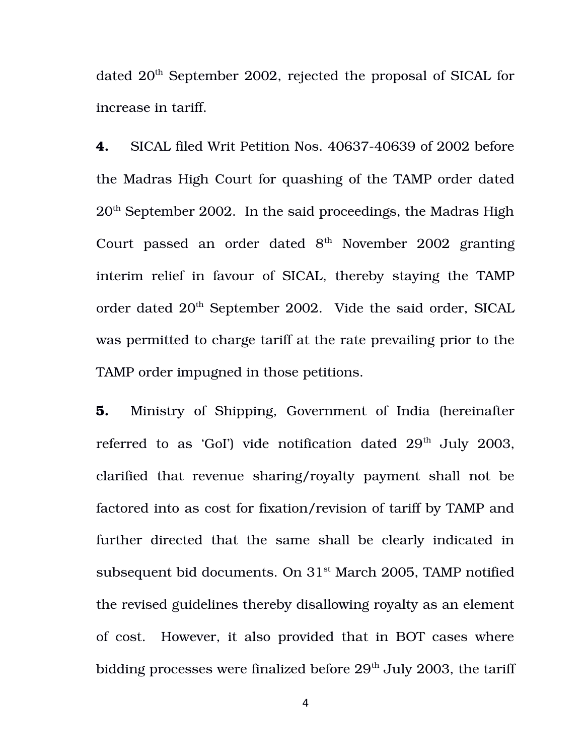dated 20<sup>th</sup> September 2002, rejected the proposal of SICAL for increase in tariff.

**4.** SICAL filed Writ Petition Nos. 40637-40639 of 2002 before the Madras High Court for quashing of the TAMP order dated 20th September 2002. In the said proceedings, the Madras High Court passed an order dated  $8<sup>th</sup>$  November 2002 granting interim relief in favour of SICAL, thereby staying the TAMP order dated 20<sup>th</sup> September 2002. Vide the said order, SICAL was permitted to charge tariff at the rate prevailing prior to the TAMP order impugned in those petitions.

**5.** Ministry of Shipping, Government of India (hereinafter referred to as 'GoI') vide notification dated  $29<sup>th</sup>$  July 2003, clarified that revenue sharing/royalty payment shall not be factored into as cost for fixation/revision of tariff by TAMP and further directed that the same shall be clearly indicated in subsequent bid documents. On  $31<sup>st</sup>$  March 2005, TAMP notified the revised guidelines thereby disallowing royalty as an element of cost. However, it also provided that in BOT cases where bidding processes were finalized before  $29<sup>th</sup>$  July 2003, the tariff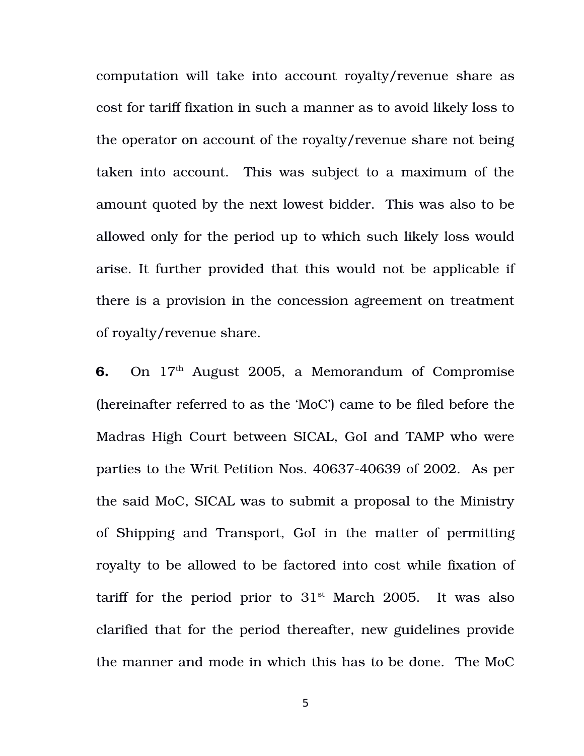computation will take into account royalty/revenue share as cost for tariff fixation in such a manner as to avoid likely loss to the operator on account of the royalty/revenue share not being taken into account. This was subject to a maximum of the amount quoted by the next lowest bidder. This was also to be allowed only for the period up to which such likely loss would arise. It further provided that this would not be applicable if there is a provision in the concession agreement on treatment of royalty/revenue share.

**6.** On 17<sup>th</sup> August 2005, a Memorandum of Compromise (hereinafter referred to as the 'MoC') came to be filed before the Madras High Court between SICAL, GoI and TAMP who were parties to the Writ Petition Nos. 40637-40639 of 2002. As per the said MoC, SICAL was to submit a proposal to the Ministry of Shipping and Transport, GoI in the matter of permitting royalty to be allowed to be factored into cost while fixation of tariff for the period prior to  $31<sup>st</sup>$  March 2005. It was also clarified that for the period thereafter, new guidelines provide the manner and mode in which this has to be done. The MoC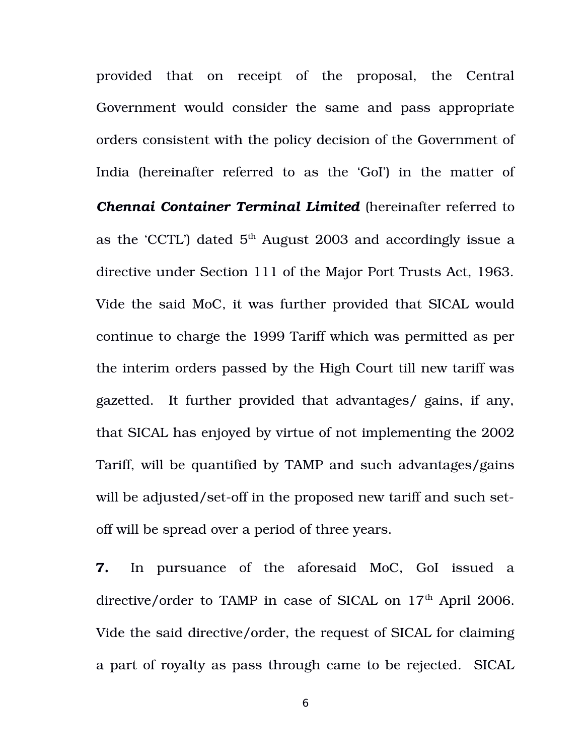provided that on receipt of the proposal, the Central Government would consider the same and pass appropriate orders consistent with the policy decision of the Government of India (hereinafter referred to as the 'GoI') in the matter of *Chennai Container Terminal Limited* (hereinafter referred to as the 'CCTL') dated  $5<sup>th</sup>$  August 2003 and accordingly issue a directive under Section 111 of the Major Port Trusts Act, 1963. Vide the said MoC, it was further provided that SICAL would continue to charge the 1999 Tariff which was permitted as per the interim orders passed by the High Court till new tariff was gazetted. It further provided that advantages/ gains, if any, that SICAL has enjoyed by virtue of not implementing the 2002 Tariff, will be quantified by TAMP and such advantages/gains will be adjusted/set-off in the proposed new tariff and such setoff will be spread over a period of three years.

**7.** In pursuance of the aforesaid MoC, GoI issued a directive/order to TAMP in case of SICAL on  $17<sup>th</sup>$  April 2006. Vide the said directive/order, the request of SICAL for claiming a part of royalty as pass through came to be rejected. SICAL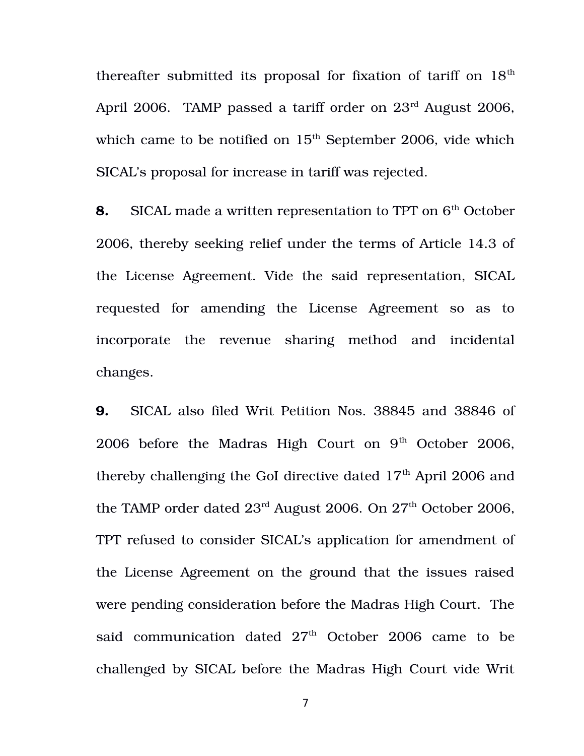thereafter submitted its proposal for fixation of tariff on  $18<sup>th</sup>$ April 2006. TAMP passed a tariff order on  $23^{\text{rd}}$  August 2006, which came to be notified on  $15<sup>th</sup>$  September 2006, vide which SICAL's proposal for increase in tariff was rejected.

**8.** SICAL made a written representation to TPT on 6<sup>th</sup> October 2006, thereby seeking relief under the terms of Article 14.3 of the License Agreement. Vide the said representation, SICAL requested for amending the License Agreement so as to incorporate the revenue sharing method and incidental changes.

**9.** SICAL also filed Writ Petition Nos. 38845 and 38846 of 2006 before the Madras High Court on  $9<sup>th</sup>$  October 2006, thereby challenging the GoI directive dated  $17<sup>th</sup>$  April 2006 and the TAMP order dated  $23^{\text{rd}}$  August 2006. On  $27^{\text{th}}$  October 2006, TPT refused to consider SICAL's application for amendment of the License Agreement on the ground that the issues raised were pending consideration before the Madras High Court. The said communication dated  $27<sup>th</sup>$  October 2006 came to be challenged by SICAL before the Madras High Court vide Writ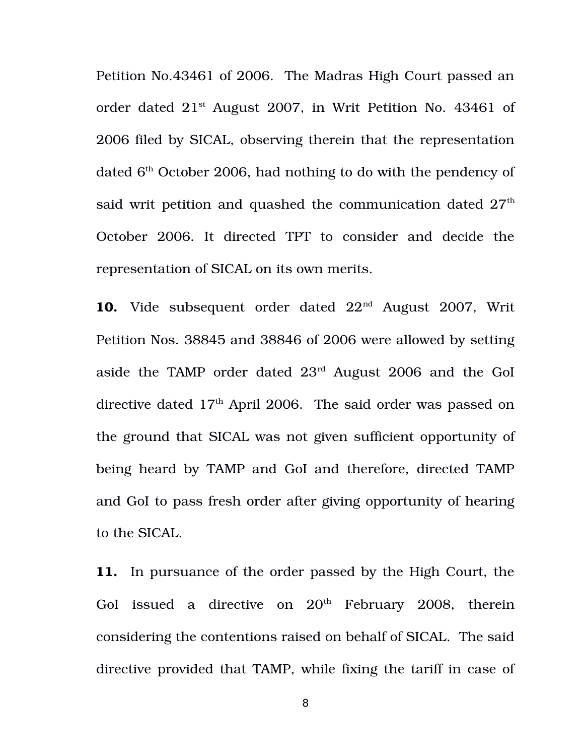Petition No.43461 of 2006. The Madras High Court passed an order dated 21st August 2007, in Writ Petition No. 43461 of 2006 filed by SICAL, observing therein that the representation dated  $6<sup>th</sup>$  October 2006, had nothing to do with the pendency of said writ petition and quashed the communication dated  $27<sup>th</sup>$ October 2006. It directed TPT to consider and decide the representation of SICAL on its own merits.

10. Vide subsequent order dated  $22<sup>nd</sup>$  August 2007, Writ Petition Nos. 38845 and 38846 of 2006 were allowed by setting aside the TAMP order dated 23rd August 2006 and the GoI directive dated  $17<sup>th</sup>$  April 2006. The said order was passed on the ground that SICAL was not given sufficient opportunity of being heard by TAMP and GoI and therefore, directed TAMP and GoI to pass fresh order after giving opportunity of hearing to the SICAL.

**11.** In pursuance of the order passed by the High Court, the GoI issued a directive on  $20<sup>th</sup>$  February 2008, therein considering the contentions raised on behalf of SICAL. The said directive provided that TAMP, while fixing the tariff in case of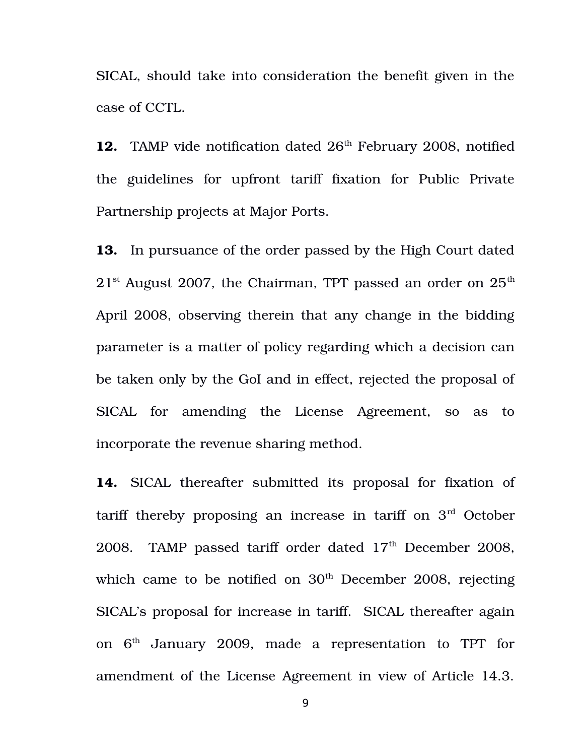SICAL, should take into consideration the benefit given in the case of CCTL.

12. TAMP vide notification dated 26<sup>th</sup> February 2008, notified the guidelines for upfront tariff fixation for Public Private Partnership projects at Major Ports.

**13.** In pursuance of the order passed by the High Court dated  $21<sup>st</sup>$  August 2007, the Chairman, TPT passed an order on  $25<sup>th</sup>$ April 2008, observing therein that any change in the bidding parameter is a matter of policy regarding which a decision can be taken only by the GoI and in effect, rejected the proposal of SICAL for amending the License Agreement, so as to incorporate the revenue sharing method.

14. SICAL thereafter submitted its proposal for fixation of tariff thereby proposing an increase in tariff on 3rd October 2008. TAMP passed tariff order dated  $17<sup>th</sup>$  December 2008, which came to be notified on  $30<sup>th</sup>$  December 2008, rejecting SICAL's proposal for increase in tariff. SICAL thereafter again on  $6<sup>th</sup>$  January 2009, made a representation to TPT for amendment of the License Agreement in view of Article 14.3.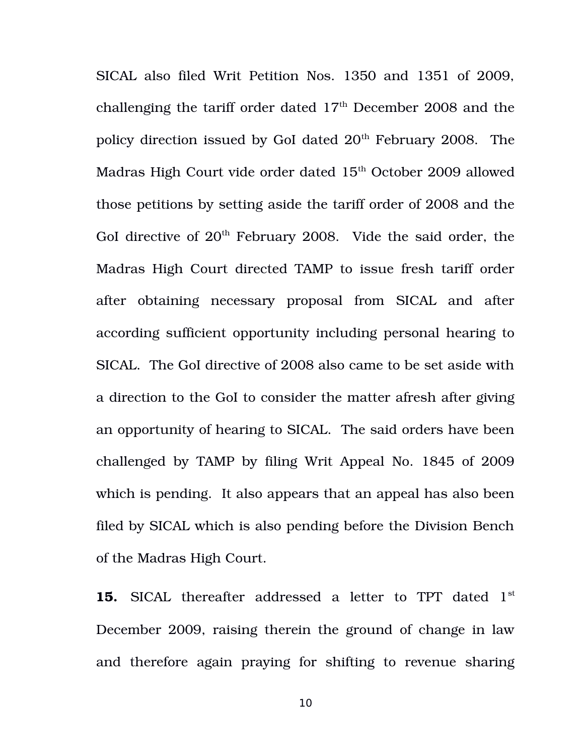SICAL also filed Writ Petition Nos. 1350 and 1351 of 2009, challenging the tariff order dated  $17<sup>th</sup>$  December 2008 and the policy direction issued by GoI dated  $20<sup>th</sup>$  February 2008. The Madras High Court vide order dated 15<sup>th</sup> October 2009 allowed those petitions by setting aside the tariff order of 2008 and the GoI directive of  $20<sup>th</sup>$  February 2008. Vide the said order, the Madras High Court directed TAMP to issue fresh tariff order after obtaining necessary proposal from SICAL and after according sufficient opportunity including personal hearing to SICAL. The GoI directive of 2008 also came to be set aside with a direction to the GoI to consider the matter afresh after giving an opportunity of hearing to SICAL. The said orders have been challenged by TAMP by filing Writ Appeal No. 1845 of 2009 which is pending. It also appears that an appeal has also been filed by SICAL which is also pending before the Division Bench of the Madras High Court.

**15.** SICAL thereafter addressed a letter to TPT dated 1<sup>st</sup> December 2009, raising therein the ground of change in law and therefore again praying for shifting to revenue sharing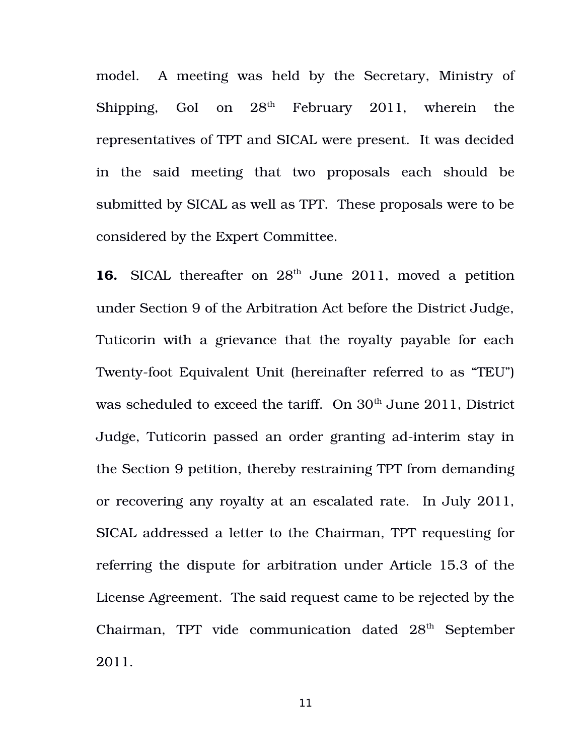model. A meeting was held by the Secretary, Ministry of Shipping, GoI on  $28<sup>th</sup>$  February 2011, wherein the representatives of TPT and SICAL were present. It was decided in the said meeting that two proposals each should be submitted by SICAL as well as TPT. These proposals were to be considered by the Expert Committee.

16. SICAL thereafter on  $28<sup>th</sup>$  June 2011, moved a petition under Section 9 of the Arbitration Act before the District Judge, Tuticorin with a grievance that the royalty payable for each Twenty-foot Equivalent Unit (hereinafter referred to as "TEU") was scheduled to exceed the tariff. On  $30<sup>th</sup>$  June 2011, District Judge, Tuticorin passed an order granting ad-interim stay in the Section 9 petition, thereby restraining TPT from demanding or recovering any royalty at an escalated rate. In July 2011, SICAL addressed a letter to the Chairman, TPT requesting for referring the dispute for arbitration under Article 15.3 of the License Agreement. The said request came to be rejected by the Chairman, TPT vide communication dated  $28<sup>th</sup>$  September 2011.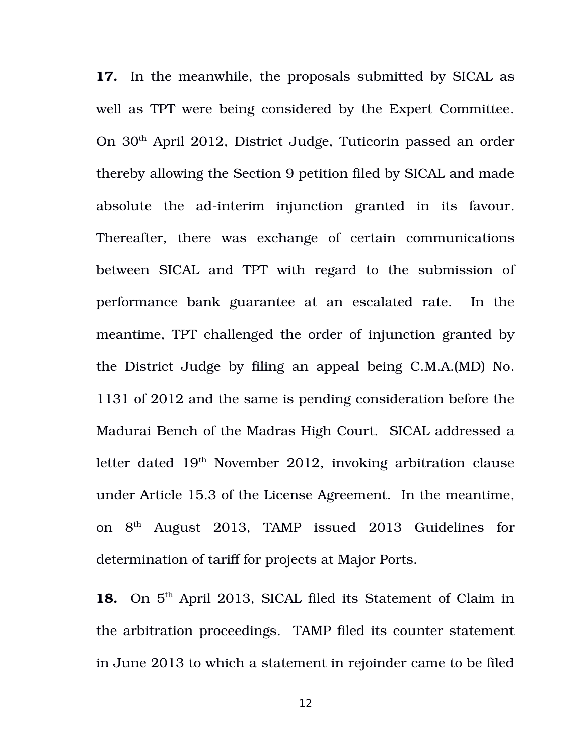**17.** In the meanwhile, the proposals submitted by SICAL as well as TPT were being considered by the Expert Committee. On 30th April 2012, District Judge, Tuticorin passed an order thereby allowing the Section 9 petition filed by SICAL and made absolute the ad-interim injunction granted in its favour. Thereafter, there was exchange of certain communications between SICAL and TPT with regard to the submission of performance bank guarantee at an escalated rate. In the meantime, TPT challenged the order of injunction granted by the District Judge by filing an appeal being C.M.A.(MD) No. 1131 of 2012 and the same is pending consideration before the Madurai Bench of the Madras High Court. SICAL addressed a letter dated 19<sup>th</sup> November 2012, invoking arbitration clause under Article 15.3 of the License Agreement. In the meantime, on  $8<sup>th</sup>$  August 2013, TAMP issued 2013 Guidelines for determination of tariff for projects at Major Ports.

18. On 5<sup>th</sup> April 2013, SICAL filed its Statement of Claim in the arbitration proceedings. TAMP filed its counter statement in June 2013 to which a statement in rejoinder came to be filed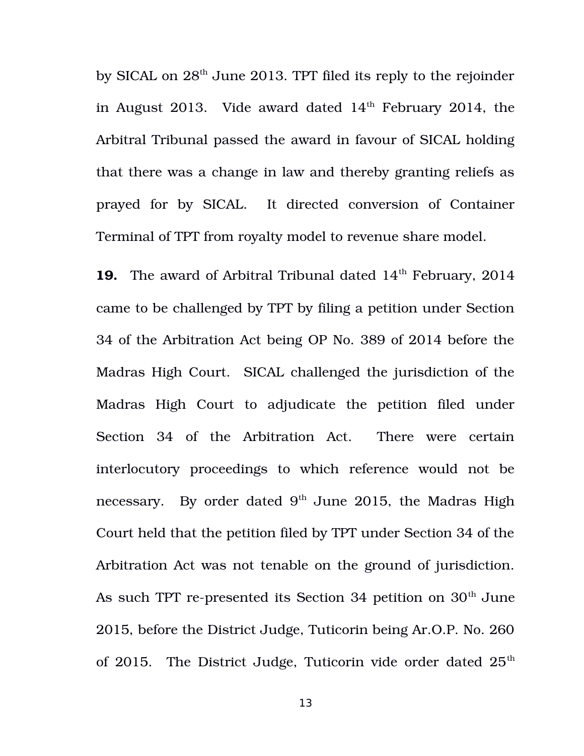by SICAL on  $28<sup>th</sup>$  June 2013. TPT filed its reply to the rejoinder in August 2013. Vide award dated  $14<sup>th</sup>$  February 2014, the Arbitral Tribunal passed the award in favour of SICAL holding that there was a change in law and thereby granting reliefs as prayed for by SICAL. It directed conversion of Container Terminal of TPT from royalty model to revenue share model.

**19.** The award of Arbitral Tribunal dated 14<sup>th</sup> February, 2014 came to be challenged by TPT by filing a petition under Section 34 of the Arbitration Act being OP No. 389 of 2014 before the Madras High Court. SICAL challenged the jurisdiction of the Madras High Court to adjudicate the petition filed under Section 34 of the Arbitration Act. There were certain interlocutory proceedings to which reference would not be necessary. By order dated  $9<sup>th</sup>$  June 2015, the Madras High Court held that the petition filed by TPT under Section 34 of the Arbitration Act was not tenable on the ground of jurisdiction. As such TPT re-presented its Section 34 petition on  $30<sup>th</sup>$  June 2015, before the District Judge, Tuticorin being Ar.O.P. No. 260 of 2015. The District Judge, Tuticorin vide order dated  $25<sup>th</sup>$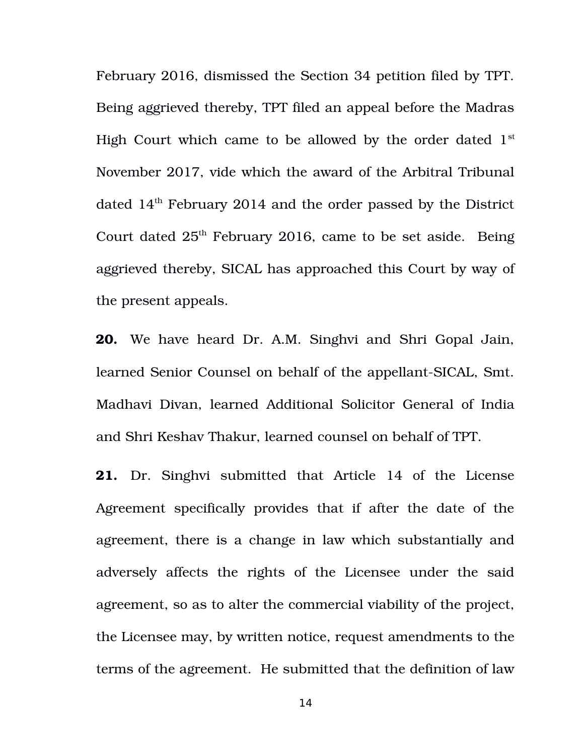February 2016, dismissed the Section 34 petition filed by TPT. Being aggrieved thereby, TPT filed an appeal before the Madras High Court which came to be allowed by the order dated  $1<sup>st</sup>$ November 2017, vide which the award of the Arbitral Tribunal dated  $14<sup>th</sup>$  February 2014 and the order passed by the District Court dated  $25<sup>th</sup>$  February 2016, came to be set aside. Being aggrieved thereby, SICAL has approached this Court by way of the present appeals.

**20.** We have heard Dr. A.M. Singhvi and Shri Gopal Jain, learned Senior Counsel on behalf of the appellant-SICAL, Smt. Madhavi Divan, learned Additional Solicitor General of India and Shri Keshav Thakur, learned counsel on behalf of TPT.

**21.** Dr. Singhvi submitted that Article 14 of the License Agreement specifically provides that if after the date of the agreement, there is a change in law which substantially and adversely affects the rights of the Licensee under the said agreement, so as to alter the commercial viability of the project, the Licensee may, by written notice, request amendments to the terms of the agreement. He submitted that the definition of law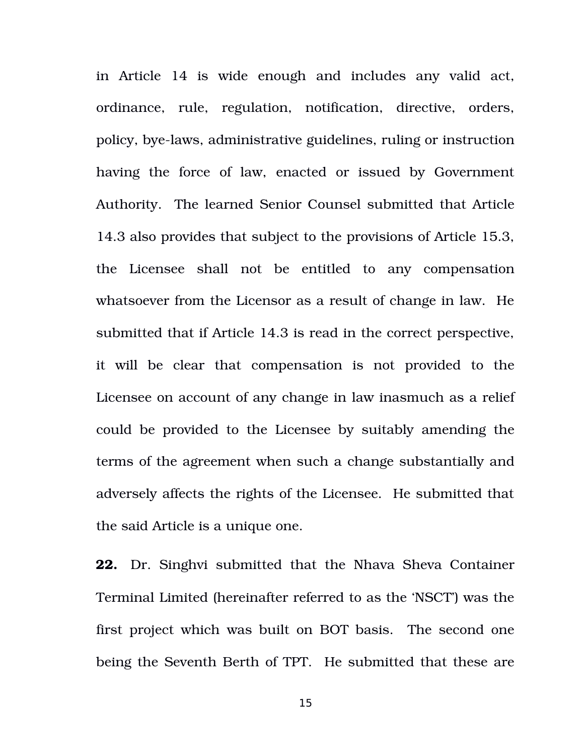in Article 14 is wide enough and includes any valid act, ordinance, rule, regulation, notification, directive, orders, policy, bye-laws, administrative guidelines, ruling or instruction having the force of law, enacted or issued by Government Authority. The learned Senior Counsel submitted that Article 14.3 also provides that subject to the provisions of Article 15.3, the Licensee shall not be entitled to any compensation whatsoever from the Licensor as a result of change in law. He submitted that if Article 14.3 is read in the correct perspective, it will be clear that compensation is not provided to the Licensee on account of any change in law inasmuch as a relief could be provided to the Licensee by suitably amending the terms of the agreement when such a change substantially and adversely affects the rights of the Licensee. He submitted that the said Article is a unique one.

**22.** Dr. Singhvi submitted that the Nhava Sheva Container Terminal Limited (hereinafter referred to as the 'NSCT') was the first project which was built on BOT basis. The second one being the Seventh Berth of TPT. He submitted that these are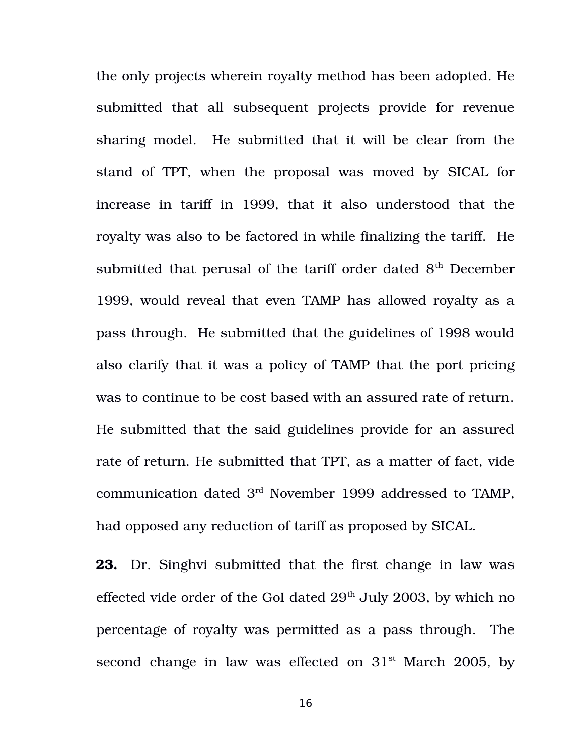the only projects wherein royalty method has been adopted. He submitted that all subsequent projects provide for revenue sharing model. He submitted that it will be clear from the stand of TPT, when the proposal was moved by SICAL for increase in tariff in 1999, that it also understood that the royalty was also to be factored in while finalizing the tariff. He submitted that perusal of the tariff order dated  $8<sup>th</sup>$  December 1999, would reveal that even TAMP has allowed royalty as a pass through. He submitted that the guidelines of 1998 would also clarify that it was a policy of TAMP that the port pricing was to continue to be cost based with an assured rate of return. He submitted that the said guidelines provide for an assured rate of return. He submitted that TPT, as a matter of fact, vide communication dated 3rd November 1999 addressed to TAMP, had opposed any reduction of tariff as proposed by SICAL.

**23.** Dr. Singhvi submitted that the first change in law was effected vide order of the GoI dated  $29<sup>th</sup>$  July 2003, by which no percentage of royalty was permitted as a pass through. The second change in law was effected on  $31<sup>st</sup>$  March 2005, by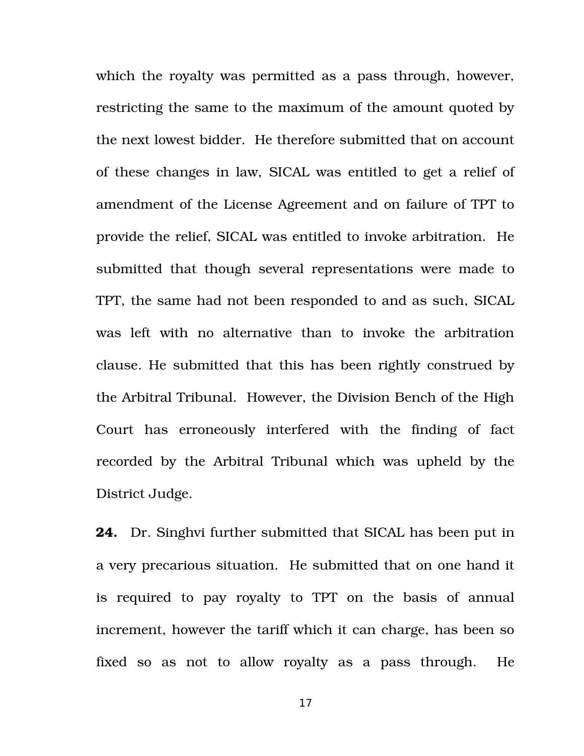which the royalty was permitted as a pass through, however, restricting the same to the maximum of the amount quoted by the next lowest bidder. He therefore submitted that on account of these changes in law, SICAL was entitled to get a relief of amendment of the License Agreement and on failure of TPT to provide the relief, SICAL was entitled to invoke arbitration. He submitted that though several representations were made to TPT, the same had not been responded to and as such, SICAL was left with no alternative than to invoke the arbitration clause. He submitted that this has been rightly construed by the Arbitral Tribunal. However, the Division Bench of the High Court has erroneously interfered with the finding of fact recorded by the Arbitral Tribunal which was upheld by the District Judge.

**24.** Dr. Singhvi further submitted that SICAL has been put in a very precarious situation. He submitted that on one hand it is required to pay royalty to TPT on the basis of annual increment, however the tariff which it can charge, has been so fixed so as not to allow royalty as a pass through. He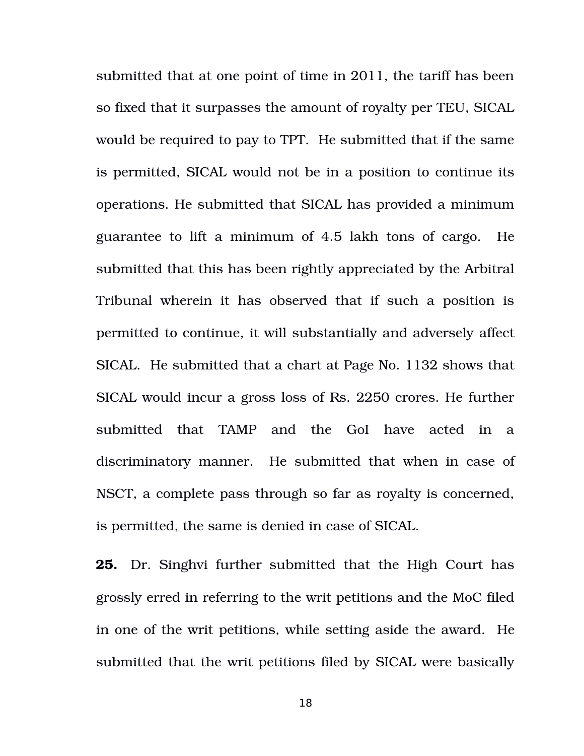submitted that at one point of time in 2011, the tariff has been so fixed that it surpasses the amount of royalty per TEU, SICAL would be required to pay to TPT. He submitted that if the same is permitted, SICAL would not be in a position to continue its operations. He submitted that SICAL has provided a minimum guarantee to lift a minimum of 4.5 lakh tons of cargo. He submitted that this has been rightly appreciated by the Arbitral Tribunal wherein it has observed that if such a position is permitted to continue, it will substantially and adversely affect SICAL. He submitted that a chart at Page No. 1132 shows that SICAL would incur a gross loss of Rs. 2250 crores. He further submitted that TAMP and the GoI have acted in a discriminatory manner. He submitted that when in case of NSCT, a complete pass through so far as royalty is concerned, is permitted, the same is denied in case of SICAL.

**25.** Dr. Singhvi further submitted that the High Court has grossly erred in referring to the writ petitions and the MoC filed in one of the writ petitions, while setting aside the award. He submitted that the writ petitions filed by SICAL were basically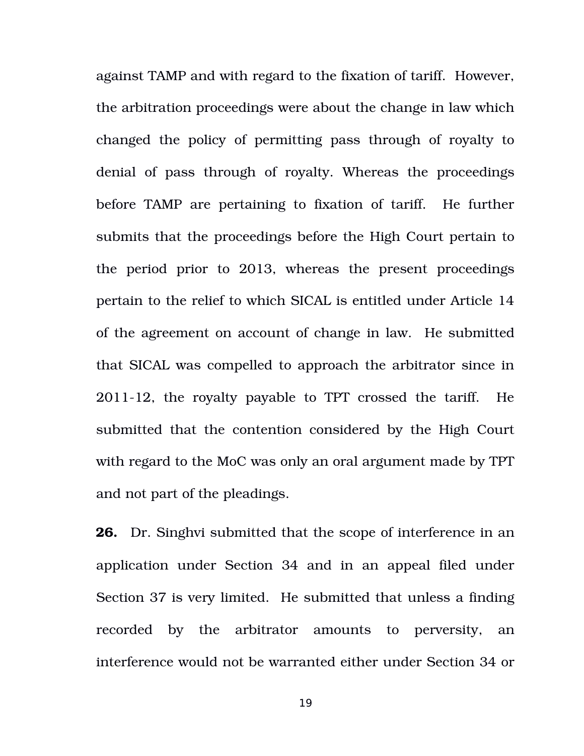against TAMP and with regard to the fixation of tariff. However, the arbitration proceedings were about the change in law which changed the policy of permitting pass through of royalty to denial of pass through of royalty. Whereas the proceedings before TAMP are pertaining to fixation of tariff. He further submits that the proceedings before the High Court pertain to the period prior to 2013, whereas the present proceedings pertain to the relief to which SICAL is entitled under Article 14 of the agreement on account of change in law. He submitted that SICAL was compelled to approach the arbitrator since in  $2011-12$ , the royalty payable to TPT crossed the tariff. He submitted that the contention considered by the High Court with regard to the MoC was only an oral argument made by TPT and not part of the pleadings.

**26.** Dr. Singhvi submitted that the scope of interference in an application under Section 34 and in an appeal filed under Section 37 is very limited. He submitted that unless a finding recorded by the arbitrator amounts to perversity, an interference would not be warranted either under Section 34 or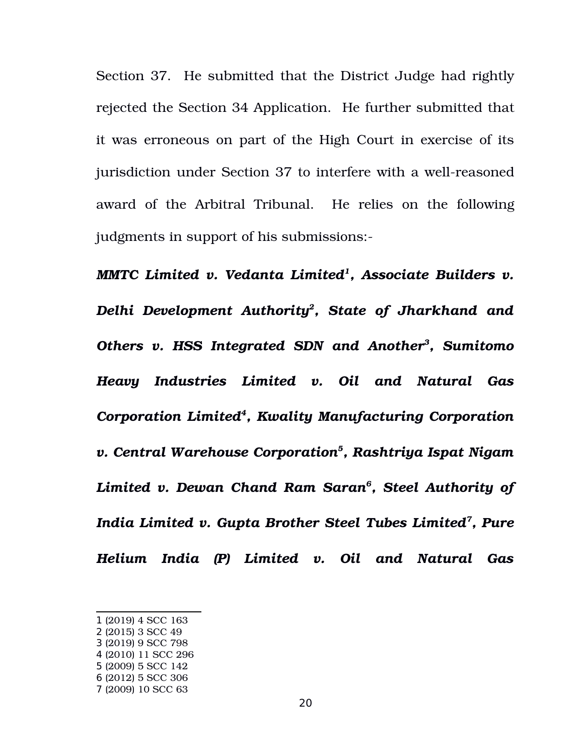Section 37. He submitted that the District Judge had rightly rejected the Section 34 Application. He further submitted that it was erroneous on part of the High Court in exercise of its jurisdiction under Section 37 to interfere with a well-reasoned award of the Arbitral Tribunal. He relies on the following judgments in support of his submissions:

*MMTC Limited v. Vedanta Limited[1](#page-19-0) , Associate Builders v. Delhi Development Authority[2](#page-19-1) , State of Jharkhand and Others v. HSS Integrated SDN and Another[3](#page-19-2) , Sumitomo Heavy Industries Limited v. Oil and Natural Gas Corporation Limited[4](#page-19-3) , Kwality Manufacturing Corporation v. Central Warehouse Corporation[5](#page-19-4) , Rashtriya Ispat Nigam Limited v. Dewan Chand Ram Saran[6](#page-19-5) , Steel Authority of India Limited v. Gupta Brother Steel Tubes Limited[7](#page-19-6) , Pure Helium India (P) Limited v. Oil and Natural Gas*

- <span id="page-19-3"></span>4 (2010) 11 SCC 296
- <span id="page-19-4"></span>5 (2009) 5 SCC 142
- <span id="page-19-5"></span>6 (2012) 5 SCC 306
- <span id="page-19-6"></span>7 (2009) 10 SCC 63

<span id="page-19-0"></span><sup>1</sup> (2019) 4 SCC 163

<span id="page-19-1"></span><sup>2</sup> (2015) 3 SCC 49

<span id="page-19-2"></span><sup>3</sup> (2019) 9 SCC 798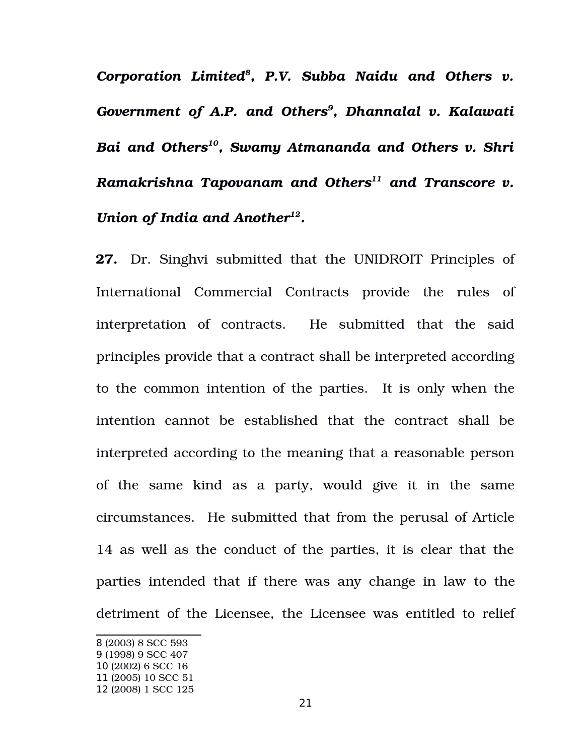*Corporation Limited[8](#page-20-0) , P.V. Subba Naidu and Others v. Government of A.P. and Others[9](#page-20-1) , Dhannalal v. Kalawati Bai and Others[10](#page-20-2), Swamy Atmananda and Others v. Shri Ramakrishna Tapovanam and Others[11](#page-20-3) and Transcore v. Union of India and Another[12](#page-20-4) .*

**27.** Dr. Singhvi submitted that the UNIDROIT Principles of International Commercial Contracts provide the rules of interpretation of contracts. He submitted that the said principles provide that a contract shall be interpreted according to the common intention of the parties. It is only when the intention cannot be established that the contract shall be interpreted according to the meaning that a reasonable person of the same kind as a party, would give it in the same circumstances. He submitted that from the perusal of Article 14 as well as the conduct of the parties, it is clear that the parties intended that if there was any change in law to the detriment of the Licensee, the Licensee was entitled to relief

<span id="page-20-0"></span><sup>8</sup> (2003) 8 SCC 593

<span id="page-20-1"></span><sup>9</sup> (1998) 9 SCC 407

<span id="page-20-2"></span><sup>10</sup> (2002) 6 SCC 16

<span id="page-20-3"></span><sup>11</sup> (2005) 10 SCC 51

<span id="page-20-4"></span><sup>12</sup> (2008) 1 SCC 125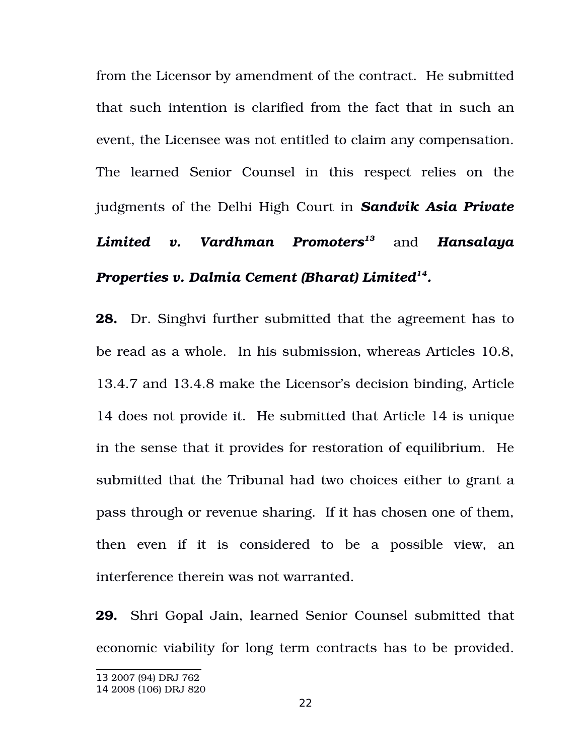from the Licensor by amendment of the contract. He submitted that such intention is clarified from the fact that in such an event, the Licensee was not entitled to claim any compensation. The learned Senior Counsel in this respect relies on the judgments of the Delhi High Court in *Sandvik Asia Private Limited v. Vardhman Promoters[13](#page-21-0)* and *Hansalaya Properties v. Dalmia Cement (Bharat) Limited[14](#page-21-1) .*

**28.** Dr. Singhvi further submitted that the agreement has to be read as a whole. In his submission, whereas Articles 10.8, 13.4.7 and 13.4.8 make the Licensor's decision binding, Article 14 does not provide it. He submitted that Article 14 is unique in the sense that it provides for restoration of equilibrium. He submitted that the Tribunal had two choices either to grant a pass through or revenue sharing. If it has chosen one of them, then even if it is considered to be a possible view, an interference therein was not warranted.

**29.** Shri Gopal Jain, learned Senior Counsel submitted that economic viability for long term contracts has to be provided.

<span id="page-21-0"></span><sup>13</sup> 2007 (94) DRJ 762

<span id="page-21-1"></span><sup>14</sup> 2008 (106) DRJ 820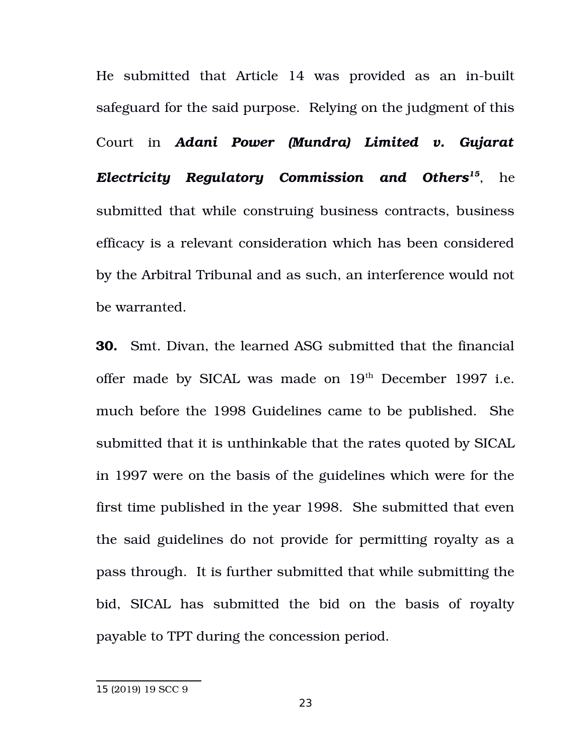He submitted that Article 14 was provided as an in-built safeguard for the said purpose. Relying on the judgment of this Court in *Adani Power (Mundra) Limited v. Gujarat Electricity Regulatory Commission and Others[15](#page-22-0)*, he submitted that while construing business contracts, business efficacy is a relevant consideration which has been considered by the Arbitral Tribunal and as such, an interference would not be warranted.

**30.** Smt. Divan, the learned ASG submitted that the financial offer made by SICAL was made on  $19<sup>th</sup>$  December 1997 i.e. much before the 1998 Guidelines came to be published. She submitted that it is unthinkable that the rates quoted by SICAL in 1997 were on the basis of the guidelines which were for the first time published in the year 1998. She submitted that even the said guidelines do not provide for permitting royalty as a pass through. It is further submitted that while submitting the bid, SICAL has submitted the bid on the basis of royalty payable to TPT during the concession period.

<span id="page-22-0"></span><sup>15</sup> (2019) 19 SCC 9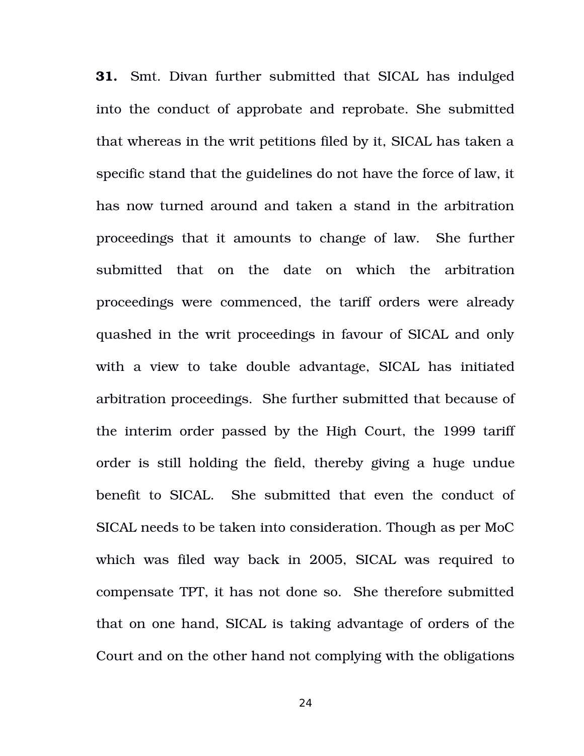**31.** Smt. Divan further submitted that SICAL has indulged into the conduct of approbate and reprobate. She submitted that whereas in the writ petitions filed by it, SICAL has taken a specific stand that the guidelines do not have the force of law, it has now turned around and taken a stand in the arbitration proceedings that it amounts to change of law. She further submitted that on the date on which the arbitration proceedings were commenced, the tariff orders were already quashed in the writ proceedings in favour of SICAL and only with a view to take double advantage, SICAL has initiated arbitration proceedings. She further submitted that because of the interim order passed by the High Court, the 1999 tariff order is still holding the field, thereby giving a huge undue benefit to SICAL. She submitted that even the conduct of SICAL needs to be taken into consideration. Though as per MoC which was filed way back in 2005, SICAL was required to compensate TPT, it has not done so. She therefore submitted that on one hand, SICAL is taking advantage of orders of the Court and on the other hand not complying with the obligations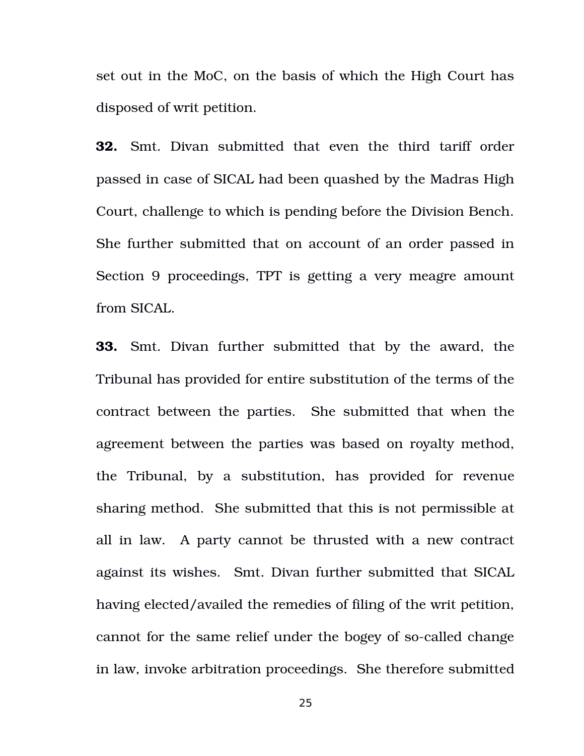set out in the MoC, on the basis of which the High Court has disposed of writ petition.

**32.** Smt. Divan submitted that even the third tariff order passed in case of SICAL had been quashed by the Madras High Court, challenge to which is pending before the Division Bench. She further submitted that on account of an order passed in Section 9 proceedings, TPT is getting a very meagre amount from SICAL.

**33.** Smt. Divan further submitted that by the award, the Tribunal has provided for entire substitution of the terms of the contract between the parties. She submitted that when the agreement between the parties was based on royalty method, the Tribunal, by a substitution, has provided for revenue sharing method. She submitted that this is not permissible at all in law. A party cannot be thrusted with a new contract against its wishes. Smt. Divan further submitted that SICAL having elected/availed the remedies of filing of the writ petition, cannot for the same relief under the bogey of so-called change in law, invoke arbitration proceedings. She therefore submitted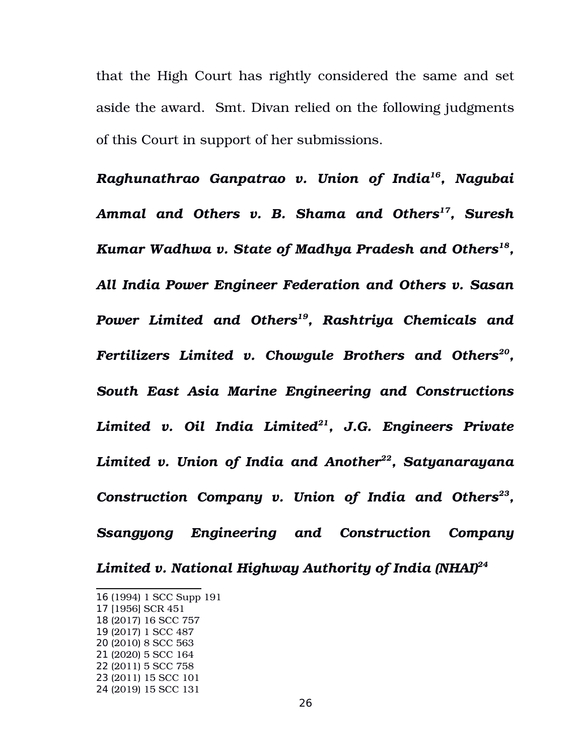that the High Court has rightly considered the same and set aside the award. Smt. Divan relied on the following judgments of this Court in support of her submissions.

*Raghunathrao Ganpatrao v. Union of India[16](#page-25-0), Nagubai Ammal and Others v. B. Shama and Others[17](#page-25-1), Suresh Kumar Wadhwa v. State of Madhya Pradesh and Others[18](#page-25-2) , All India Power Engineer Federation and Others v. Sasan Power Limited and Others[19](#page-25-3), Rashtriya Chemicals and Fertilizers Limited v. Chowgule Brothers and Others[20](#page-25-4) , South East Asia Marine Engineering and Constructions Limited v. Oil India Limited[21](#page-25-5), J.G. Engineers Private Limited v. Union of India and Another[22](#page-25-6), Satyanarayana Construction Company v. Union of India and Others[23](#page-25-7) , Ssangyong Engineering and Construction Company Limited v. National Highway Authority of India (NHAI)[24](#page-25-8)*

<span id="page-25-0"></span><sup>16</sup> (1994) 1 SCC Supp 191

<span id="page-25-1"></span><sup>17</sup> [1956] SCR 451

<span id="page-25-2"></span><sup>18</sup> (2017) 16 SCC 757

<span id="page-25-3"></span><sup>19</sup> (2017) 1 SCC 487

<span id="page-25-4"></span><sup>20</sup> (2010) 8 SCC 563

<span id="page-25-5"></span><sup>21</sup> (2020) 5 SCC 164

<span id="page-25-6"></span><sup>22</sup> (2011) 5 SCC 758

<span id="page-25-7"></span><sup>23</sup> (2011) 15 SCC 101

<span id="page-25-8"></span><sup>24</sup> (2019) 15 SCC 131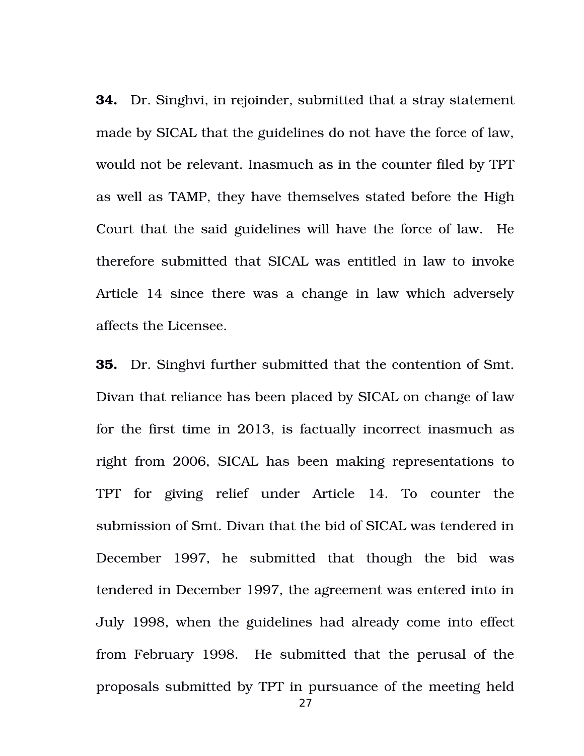**34.** Dr. Singhvi, in rejoinder, submitted that a stray statement made by SICAL that the guidelines do not have the force of law, would not be relevant. Inasmuch as in the counter filed by TPT as well as TAMP, they have themselves stated before the High Court that the said guidelines will have the force of law. He therefore submitted that SICAL was entitled in law to invoke Article 14 since there was a change in law which adversely affects the Licensee.

**35.** Dr. Singhvi further submitted that the contention of Smt. Divan that reliance has been placed by SICAL on change of law for the first time in 2013, is factually incorrect inasmuch as right from 2006, SICAL has been making representations to TPT for giving relief under Article 14. To counter the submission of Smt. Divan that the bid of SICAL was tendered in December 1997, he submitted that though the bid was tendered in December 1997, the agreement was entered into in July 1998, when the guidelines had already come into effect from February 1998. He submitted that the perusal of the proposals submitted by TPT in pursuance of the meeting held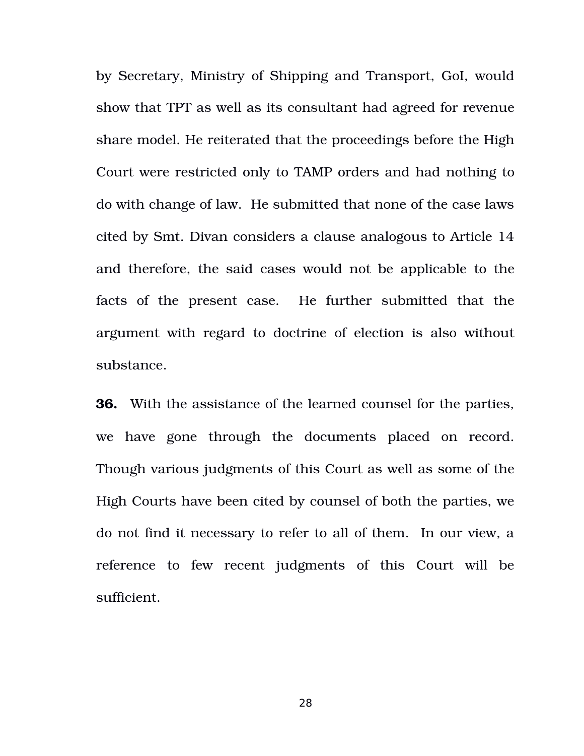by Secretary, Ministry of Shipping and Transport, GoI, would show that TPT as well as its consultant had agreed for revenue share model. He reiterated that the proceedings before the High Court were restricted only to TAMP orders and had nothing to do with change of law. He submitted that none of the case laws cited by Smt. Divan considers a clause analogous to Article 14 and therefore, the said cases would not be applicable to the facts of the present case. He further submitted that the argument with regard to doctrine of election is also without substance.

**36.** With the assistance of the learned counsel for the parties, we have gone through the documents placed on record. Though various judgments of this Court as well as some of the High Courts have been cited by counsel of both the parties, we do not find it necessary to refer to all of them. In our view, a reference to few recent judgments of this Court will be sufficient.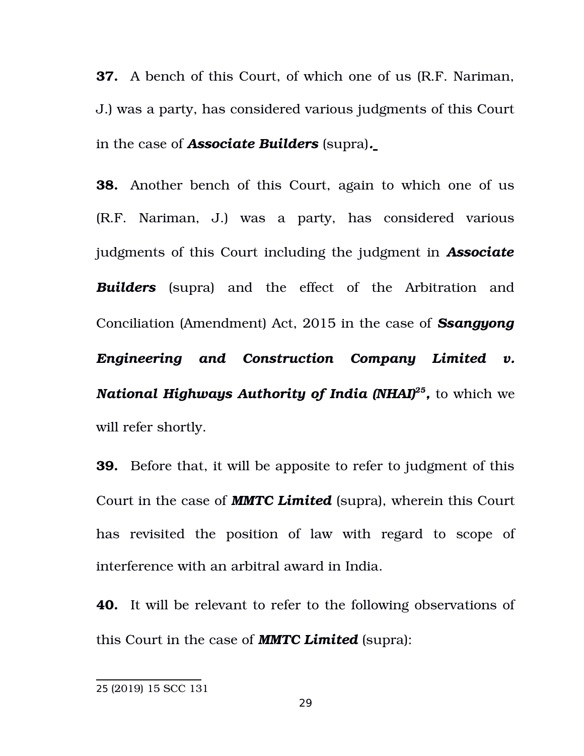**37.** A bench of this Court, of which one of us (R.F. Nariman, J.) was a party, has considered various judgments of this Court in the case of *Associate Builders* (supra)*.*

**38.** Another bench of this Court, again to which one of us (R.F. Nariman, J.) was a party, has considered various judgments of this Court including the judgment in *Associate Builders* (supra) and the effect of the Arbitration and Conciliation (Amendment) Act, 2015 in the case of *Ssangyong Engineering and Construction Company Limited v. National Highways Authority of India (NHAI)[25](#page-28-0) ,* to which we will refer shortly.

**39.** Before that, it will be apposite to refer to judgment of this Court in the case of *MMTC Limited* (supra), wherein this Court has revisited the position of law with regard to scope of interference with an arbitral award in India.

**40.** It will be relevant to refer to the following observations of this Court in the case of *MMTC Limited* (supra):

<span id="page-28-0"></span><sup>25</sup> (2019) 15 SCC 131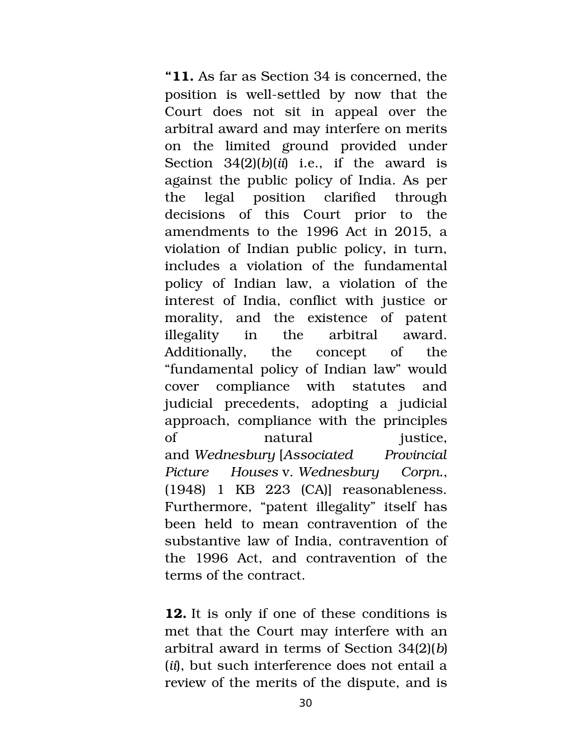**"11.** As far as Section 34 is concerned, the position is well-settled by now that the Court does not sit in appeal over the arbitral award and may interfere on merits on the limited ground provided under Section  $34(2)(b)(ii)$  i.e., if the award is against the public policy of India. As per the legal position clarified through decisions of this Court prior to the amendments to the 1996 Act in 2015, a violation of Indian public policy, in turn, includes a violation of the fundamental policy of Indian law, a violation of the interest of India, conflict with justice or morality, and the existence of patent illegality in the arbitral award. Additionally, the concept of the "fundamental policy of Indian law" would cover compliance with statutes and judicial precedents, adopting a judicial approach, compliance with the principles of matural iustice, and *Wednesbury* [*Associated Provincial Picture Houses* v. *Wednesbury Corpn.*, (1948) 1 KB 223 (CA)] reasonableness. Furthermore, "patent illegality" itself has been held to mean contravention of the substantive law of India, contravention of the 1996 Act, and contravention of the terms of the contract.

**12.** It is only if one of these conditions is met that the Court may interfere with an arbitral award in terms of Section 34(2)(*b*) (*ii*), but such interference does not entail a review of the merits of the dispute, and is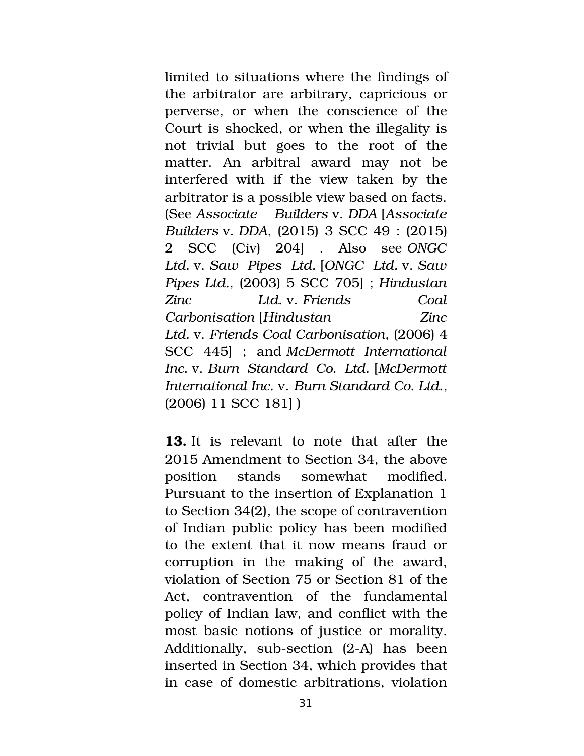limited to situations where the findings of the arbitrator are arbitrary, capricious or perverse, or when the conscience of the Court is shocked, or when the illegality is not trivial but goes to the root of the matter. An arbitral award may not be interfered with if the view taken by the arbitrator is a possible view based on facts. (See *Associate Builders* v. *DDA* [*Associate Builders* v. *DDA*, (2015) 3 SCC 49 : (2015) 2 SCC (Civ) 204] . Also see *ONGC Ltd.* v. *Saw Pipes Ltd.* [*ONGC Ltd.* v. *Saw Pipes Ltd.*, (2003) 5 SCC 705] ; *Hindustan Zinc Ltd.* v. *Friends Coal Carbonisation* [*Hindustan Zinc Ltd.* v. *Friends Coal Carbonisation*, (2006) 4 SCC 445] ; and *McDermott International Inc.* v. *Burn Standard Co. Ltd.* [*McDermott International Inc.* v. *Burn Standard Co. Ltd.*, (2006) 11 SCC 181] )

**13.** It is relevant to note that after the 2015 Amendment to Section 34, the above position stands somewhat modified. Pursuant to the insertion of Explanation 1 to Section 34(2), the scope of contravention of Indian public policy has been modified to the extent that it now means fraud or corruption in the making of the award, violation of Section 75 or Section 81 of the Act, contravention of the fundamental policy of Indian law, and conflict with the most basic notions of justice or morality. Additionally, sub-section  $(2-A)$  has been inserted in Section 34, which provides that in case of domestic arbitrations, violation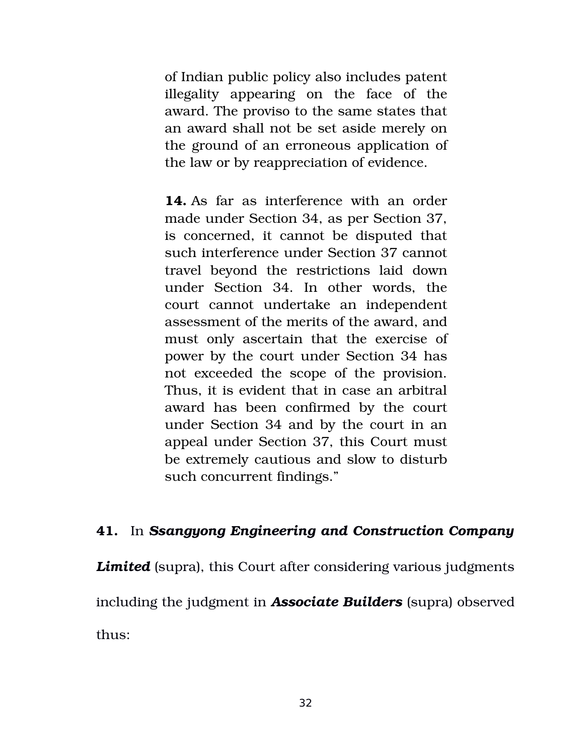of Indian public policy also includes patent illegality appearing on the face of the award. The proviso to the same states that an award shall not be set aside merely on the ground of an erroneous application of the law or by reappreciation of evidence.

**14.** As far as interference with an order made under Section 34, as per Section 37, is concerned, it cannot be disputed that such interference under Section 37 cannot travel beyond the restrictions laid down under Section 34. In other words, the court cannot undertake an independent assessment of the merits of the award, and must only ascertain that the exercise of power by the court under Section 34 has not exceeded the scope of the provision. Thus, it is evident that in case an arbitral award has been confirmed by the court under Section 34 and by the court in an appeal under Section 37, this Court must be extremely cautious and slow to disturb such concurrent findings."

# **41.** In *Ssangyong Engineering and Construction Company*

**Limited** (supra), this Court after considering various judgments including the judgment in *Associate Builders* (supra) observed thus: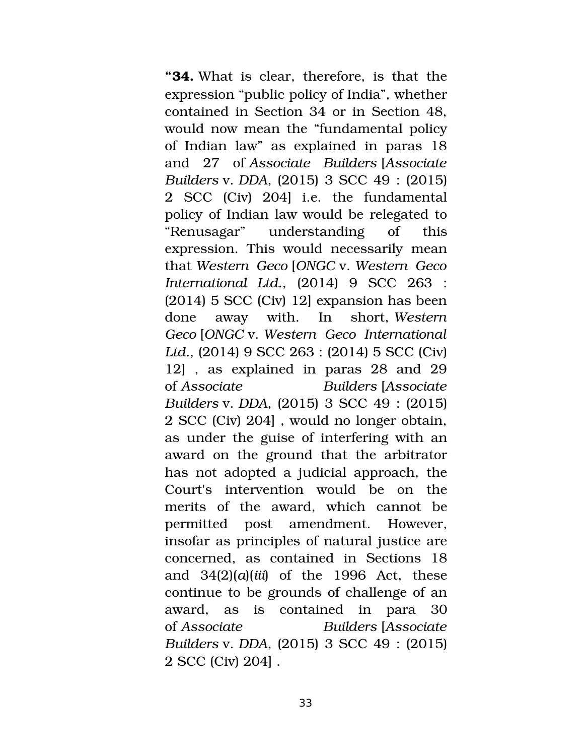**"34.** What is clear, therefore, is that the expression "public policy of India", whether contained in Section 34 or in Section 48, would now mean the "fundamental policy of Indian law" as explained in paras 18 and 27 of *Associate Builders* [*Associate Builders* v. *DDA*, (2015) 3 SCC 49 : (2015) 2 SCC (Civ) 204] i.e. the fundamental policy of Indian law would be relegated to "Renusagar" understanding of this expression. This would necessarily mean that *Western Geco* [*ONGC* v. *Western Geco International Ltd.*, (2014) 9 SCC 263 : (2014) 5 SCC (Civ) 12] expansion has been done away with. In short, *Western Geco* [*ONGC* v. *Western Geco International Ltd.*, (2014) 9 SCC 263 : (2014) 5 SCC (Civ) 12], as explained in paras 28 and 29 of *Associate Builders* [*Associate Builders* v. *DDA*, (2015) 3 SCC 49 : (2015) 2 SCC (Civ) 204] , would no longer obtain, as under the guise of interfering with an award on the ground that the arbitrator has not adopted a judicial approach, the Court's intervention would be on the merits of the award, which cannot be permitted post amendment. However, insofar as principles of natural justice are concerned, as contained in Sections 18 and 34(2)(*a*)(*iii*) of the 1996 Act, these continue to be grounds of challenge of an award, as is contained in para 30 of *Associate Builders* [*Associate Builders* v. *DDA*, (2015) 3 SCC 49 : (2015) 2 SCC (Civ) 204] .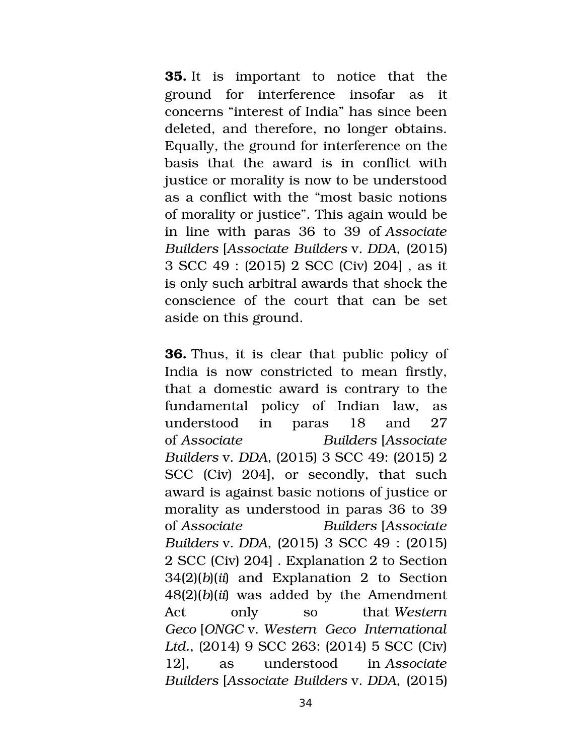**35.** It is important to notice that the ground for interference insofar as it concerns "interest of India" has since been deleted, and therefore, no longer obtains. Equally, the ground for interference on the basis that the award is in conflict with justice or morality is now to be understood as a conflict with the "most basic notions of morality or justice". This again would be in line with paras 36 to 39 of *Associate Builders* [*Associate Builders* v. *DDA*, (2015) 3 SCC 49 : (2015) 2 SCC (Civ) 204] , as it is only such arbitral awards that shock the conscience of the court that can be set aside on this ground.

**36.** Thus, it is clear that public policy of India is now constricted to mean firstly, that a domestic award is contrary to the fundamental policy of Indian law, as understood in paras 18 and 27 of *Associate Builders* [*Associate Builders* v. *DDA*, (2015) 3 SCC 49: (2015) 2 SCC (Civ) 204, or secondly, that such award is against basic notions of justice or morality as understood in paras 36 to 39 of *Associate Builders* [*Associate Builders* v. *DDA*, (2015) 3 SCC 49 : (2015) 2 SCC (Civ) 204] . Explanation 2 to Section 34(2)(*b*)(*ii*) and Explanation 2 to Section 48(2)(*b*)(*ii*) was added by the Amendment Act only so that *Western Geco* [*ONGC* v. *Western Geco International Ltd.*, (2014) 9 SCC 263: (2014) 5 SCC (Civ) 12], as understood in *Associate Builders* [*Associate Builders* v. *DDA*, (2015)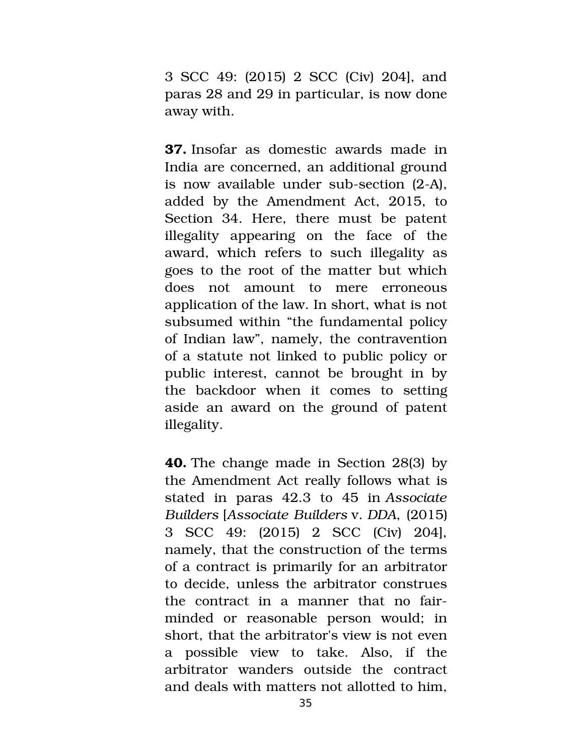3 SCC 49: (2015) 2 SCC (Civ) 204], and paras 28 and 29 in particular, is now done away with.

**37.** Insofar as domestic awards made in India are concerned, an additional ground is now available under sub-section  $(2-A)$ , added by the Amendment Act, 2015, to Section 34. Here, there must be patent illegality appearing on the face of the award, which refers to such illegality as goes to the root of the matter but which does not amount to mere erroneous application of the law. In short, what is not subsumed within "the fundamental policy of Indian law", namely, the contravention of a statute not linked to public policy or public interest, cannot be brought in by the backdoor when it comes to setting aside an award on the ground of patent illegality.

**40.** The change made in Section 28(3) by the Amendment Act really follows what is stated in paras 42.3 to 45 in *Associate Builders* [*Associate Builders* v. *DDA*, (2015) 3 SCC 49: (2015) 2 SCC (Civ) 204], namely, that the construction of the terms of a contract is primarily for an arbitrator to decide, unless the arbitrator construes the contract in a manner that no fairminded or reasonable person would; in short, that the arbitrator's view is not even a possible view to take. Also, if the arbitrator wanders outside the contract and deals with matters not allotted to him,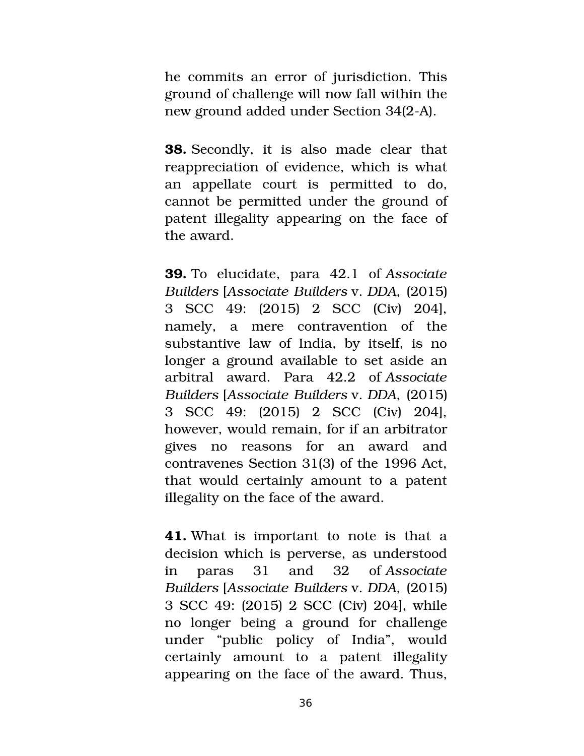he commits an error of jurisdiction. This ground of challenge will now fall within the new ground added under Section 34(2-A).

**38.** Secondly, it is also made clear that reappreciation of evidence, which is what an appellate court is permitted to do, cannot be permitted under the ground of patent illegality appearing on the face of the award.

**39.** To elucidate, para 42.1 of *Associate Builders* [*Associate Builders* v. *DDA*, (2015) 3 SCC 49: (2015) 2 SCC (Civ) 204], namely, a mere contravention of the substantive law of India, by itself, is no longer a ground available to set aside an arbitral award. Para 42.2 of *Associate Builders* [*Associate Builders* v. *DDA*, (2015) 3 SCC 49: (2015) 2 SCC (Civ) 204], however, would remain, for if an arbitrator gives no reasons for an award and contravenes Section 31(3) of the 1996 Act, that would certainly amount to a patent illegality on the face of the award.

**41.** What is important to note is that a decision which is perverse, as understood in paras 31 and 32 of *Associate Builders* [*Associate Builders* v. *DDA*, (2015) 3 SCC 49: (2015) 2 SCC (Civ) 204], while no longer being a ground for challenge under "public policy of India", would certainly amount to a patent illegality appearing on the face of the award. Thus,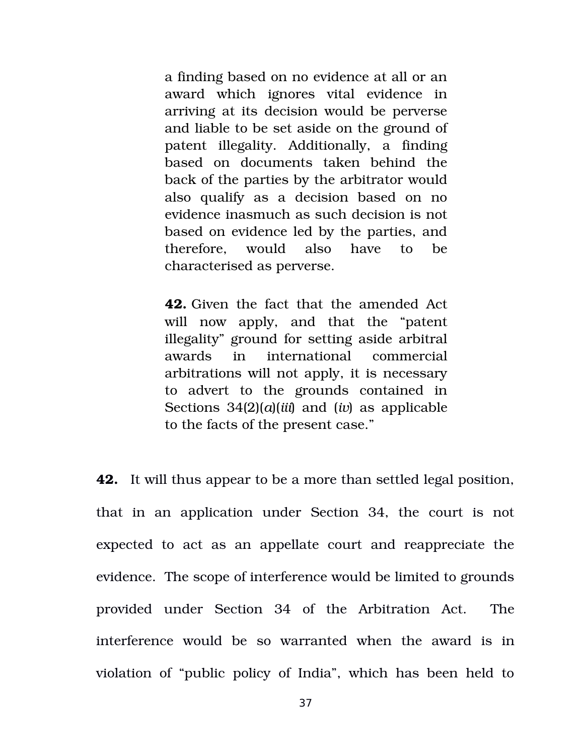a finding based on no evidence at all or an award which ignores vital evidence in arriving at its decision would be perverse and liable to be set aside on the ground of patent illegality. Additionally, a finding based on documents taken behind the back of the parties by the arbitrator would also qualify as a decision based on no evidence inasmuch as such decision is not based on evidence led by the parties, and therefore, would also have to be characterised as perverse.

**42.** Given the fact that the amended Act will now apply, and that the "patent illegality" ground for setting aside arbitral awards in international commercial arbitrations will not apply, it is necessary to advert to the grounds contained in Sections 34(2)(*a*)(*iii*) and (*iv*) as applicable to the facts of the present case."

**42.** It will thus appear to be a more than settled legal position, that in an application under Section 34, the court is not expected to act as an appellate court and reappreciate the evidence. The scope of interference would be limited to grounds provided under Section 34 of the Arbitration Act. The interference would be so warranted when the award is in violation of "public policy of India", which has been held to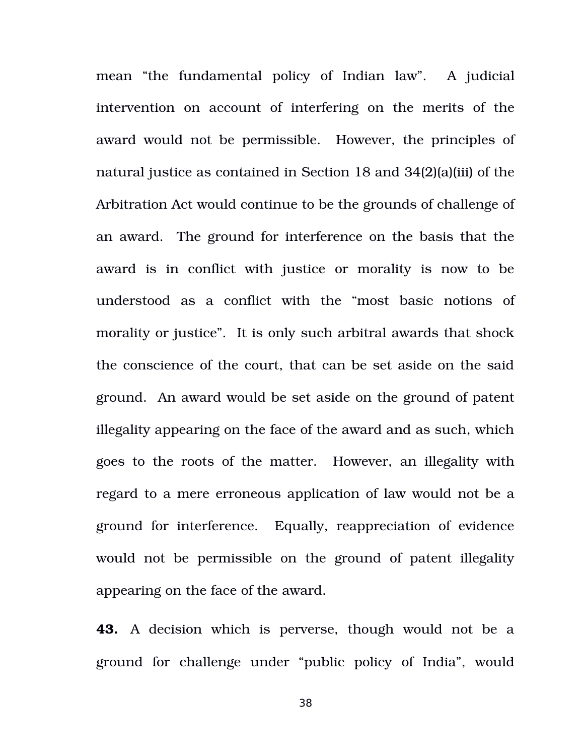mean "the fundamental policy of Indian law". A judicial intervention on account of interfering on the merits of the award would not be permissible. However, the principles of natural justice as contained in Section 18 and 34(2)(a)(iii) of the Arbitration Act would continue to be the grounds of challenge of an award. The ground for interference on the basis that the award is in conflict with justice or morality is now to be understood as a conflict with the "most basic notions of morality or justice". It is only such arbitral awards that shock the conscience of the court, that can be set aside on the said ground. An award would be set aside on the ground of patent illegality appearing on the face of the award and as such, which goes to the roots of the matter. However, an illegality with regard to a mere erroneous application of law would not be a ground for interference. Equally, reappreciation of evidence would not be permissible on the ground of patent illegality appearing on the face of the award.

**43.** A decision which is perverse, though would not be a ground for challenge under "public policy of India", would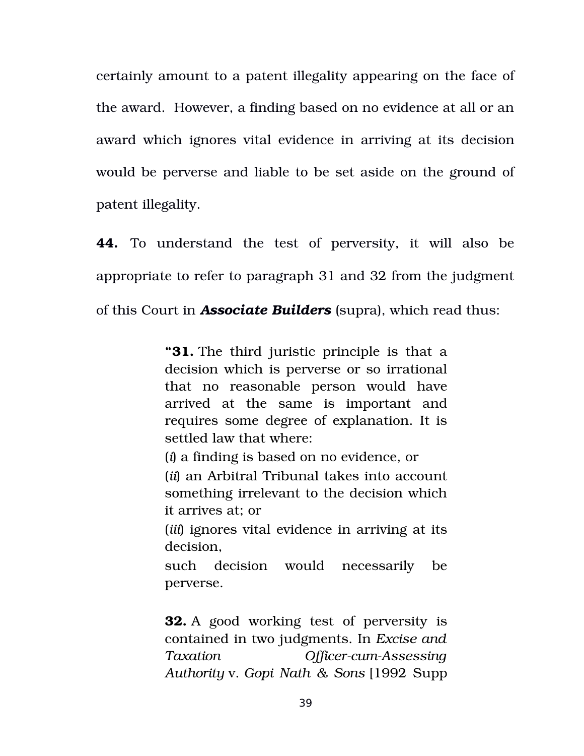certainly amount to a patent illegality appearing on the face of the award. However, a finding based on no evidence at all or an award which ignores vital evidence in arriving at its decision would be perverse and liable to be set aside on the ground of patent illegality.

**44.** To understand the test of perversity, it will also be appropriate to refer to paragraph 31 and 32 from the judgment of this Court in *Associate Builders* (supra), which read thus:

> **"31.** The third juristic principle is that a decision which is perverse or so irrational that no reasonable person would have arrived at the same is important and requires some degree of explanation. It is settled law that where:

(*i*) a finding is based on no evidence, or

(*ii*) an Arbitral Tribunal takes into account something irrelevant to the decision which it arrives at; or

(*iii*) ignores vital evidence in arriving at its decision,

such decision would necessarily be perverse.

**32.** A good working test of perversity is contained in two judgments. In *Excise and Taxation Officer-cum-Assessing Authority* v. *Gopi Nath & Sons* [1992 Supp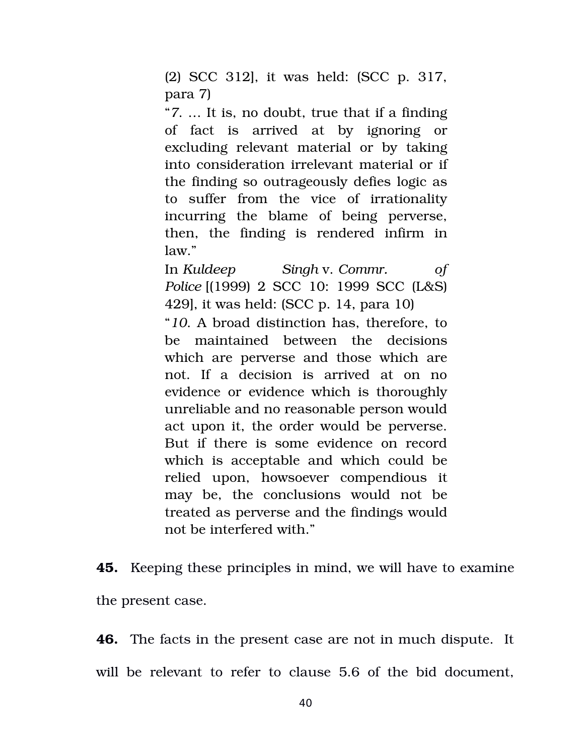(2) SCC 312], it was held: (SCC p. 317, para 7)

"*7*. … It is, no doubt, true that if a finding of fact is arrived at by ignoring or excluding relevant material or by taking into consideration irrelevant material or if the finding so outrageously defies logic as to suffer from the vice of irrationality incurring the blame of being perverse, then, the finding is rendered infirm in law."

In *Kuldeep Singh* v. *Commr. of Police* [(1999) 2 SCC 10: 1999 SCC (L&S) 429], it was held: (SCC p. 14, para 10)

"*10*. A broad distinction has, therefore, to be maintained between the decisions which are perverse and those which are not. If a decision is arrived at on no evidence or evidence which is thoroughly unreliable and no reasonable person would act upon it, the order would be perverse. But if there is some evidence on record which is acceptable and which could be relied upon, howsoever compendious it may be, the conclusions would not be treated as perverse and the findings would not be interfered with."

**45.** Keeping these principles in mind, we will have to examine the present case.

**46.** The facts in the present case are not in much dispute. It will be relevant to refer to clause 5.6 of the bid document.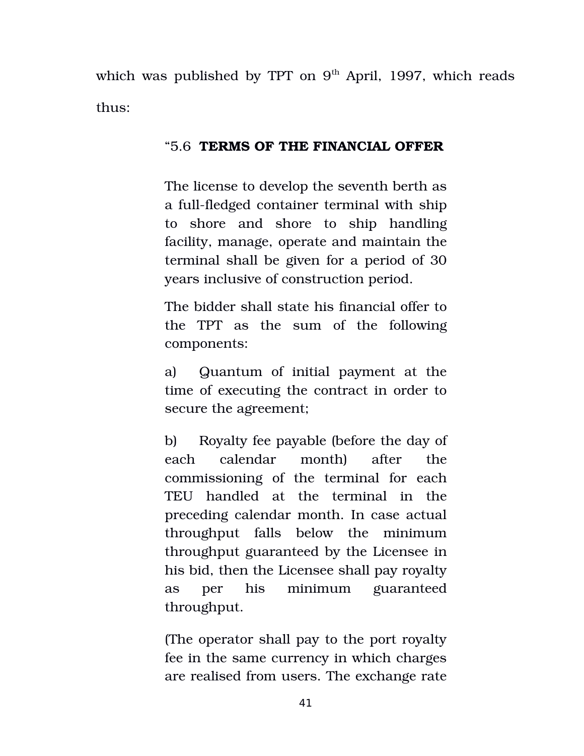which was published by TPT on  $9<sup>th</sup>$  April, 1997, which reads thus:

## "5.6 **TERMS OF THE FINANCIAL OFFER**

The license to develop the seventh berth as a full-fledged container terminal with ship to shore and shore to ship handling facility, manage, operate and maintain the terminal shall be given for a period of 30 years inclusive of construction period.

The bidder shall state his financial offer to the TPT as the sum of the following components:

a) Quantum of initial payment at the time of executing the contract in order to secure the agreement;

b) Royalty fee payable (before the day of each calendar month) after the commissioning of the terminal for each TEU handled at the terminal in the preceding calendar month. In case actual throughput falls below the minimum throughput guaranteed by the Licensee in his bid, then the Licensee shall pay royalty as per his minimum guaranteed throughput.

(The operator shall pay to the port royalty fee in the same currency in which charges are realised from users. The exchange rate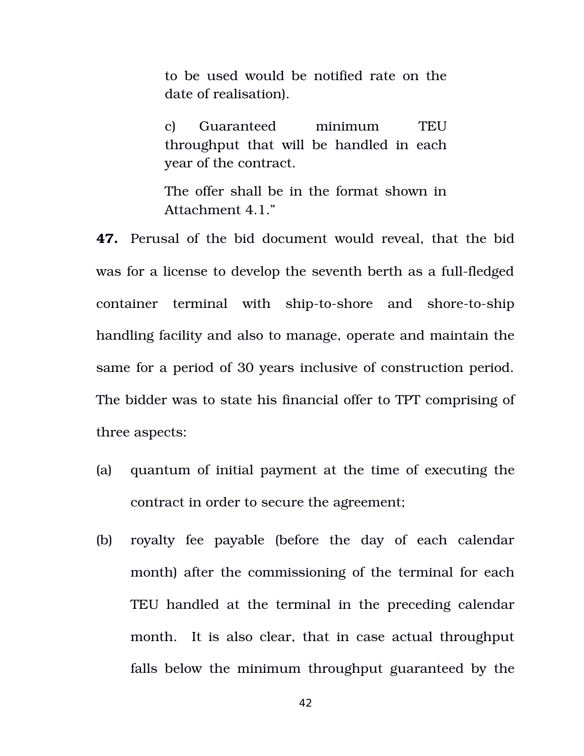to be used would be notified rate on the date of realisation).

c) Guaranteed minimum TEU throughput that will be handled in each year of the contract.

The offer shall be in the format shown in Attachment 4.1."

**47.** Perusal of the bid document would reveal, that the bid was for a license to develop the seventh berth as a full-fledged container terminal with ship-to-shore and shore-to-ship handling facility and also to manage, operate and maintain the same for a period of 30 years inclusive of construction period. The bidder was to state his financial offer to TPT comprising of three aspects:

- (a) quantum of initial payment at the time of executing the contract in order to secure the agreement;
- (b) royalty fee payable (before the day of each calendar month) after the commissioning of the terminal for each TEU handled at the terminal in the preceding calendar month. It is also clear, that in case actual throughput falls below the minimum throughput guaranteed by the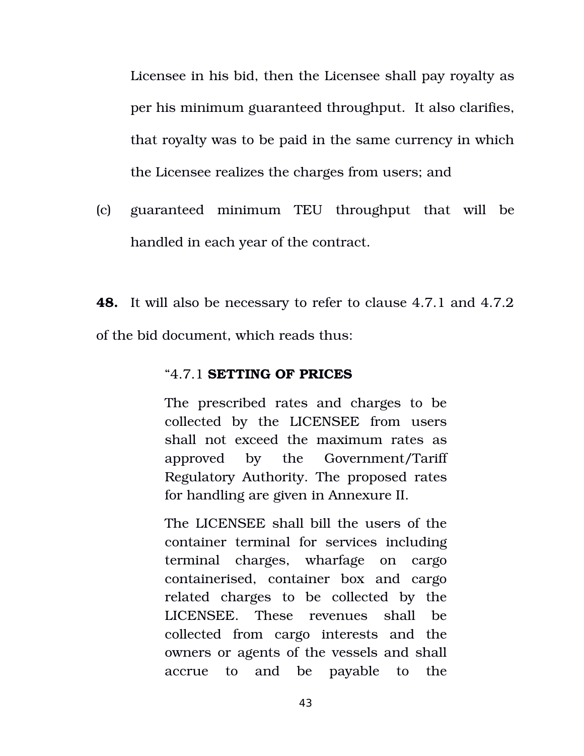Licensee in his bid, then the Licensee shall pay royalty as per his minimum guaranteed throughput. It also clarifies, that royalty was to be paid in the same currency in which the Licensee realizes the charges from users; and

(c) guaranteed minimum TEU throughput that will be handled in each year of the contract.

**48.** It will also be necessary to refer to clause 4.7.1 and 4.7.2 of the bid document, which reads thus:

## "4.7.1 **SETTING OF PRICES**

The prescribed rates and charges to be collected by the LICENSEE from users shall not exceed the maximum rates as approved by the Government/Tariff Regulatory Authority. The proposed rates for handling are given in Annexure II.

The LICENSEE shall bill the users of the container terminal for services including terminal charges, wharfage on cargo containerised, container box and cargo related charges to be collected by the LICENSEE. These revenues shall be collected from cargo interests and the owners or agents of the vessels and shall accrue to and be payable to the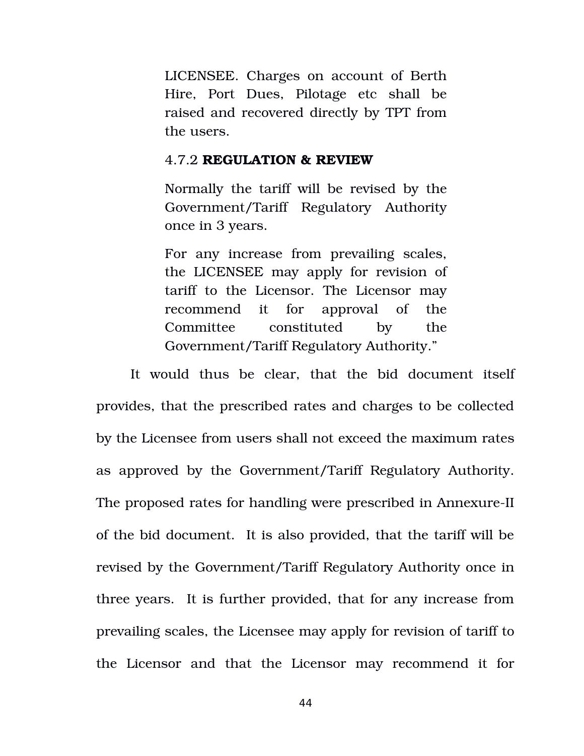LICENSEE. Charges on account of Berth Hire, Port Dues, Pilotage etc shall be raised and recovered directly by TPT from the users.

#### 4.7.2 **REGULATION & REVIEW**

Normally the tariff will be revised by the Government/Tariff Regulatory Authority once in 3 years.

For any increase from prevailing scales, the LICENSEE may apply for revision of tariff to the Licensor. The Licensor may recommend it for approval of the Committee constituted by the Government/Tariff Regulatory Authority."

It would thus be clear, that the bid document itself provides, that the prescribed rates and charges to be collected by the Licensee from users shall not exceed the maximum rates as approved by the Government/Tariff Regulatory Authority. The proposed rates for handling were prescribed in Annexure-II of the bid document. It is also provided, that the tariff will be revised by the Government/Tariff Regulatory Authority once in three years. It is further provided, that for any increase from prevailing scales, the Licensee may apply for revision of tariff to the Licensor and that the Licensor may recommend it for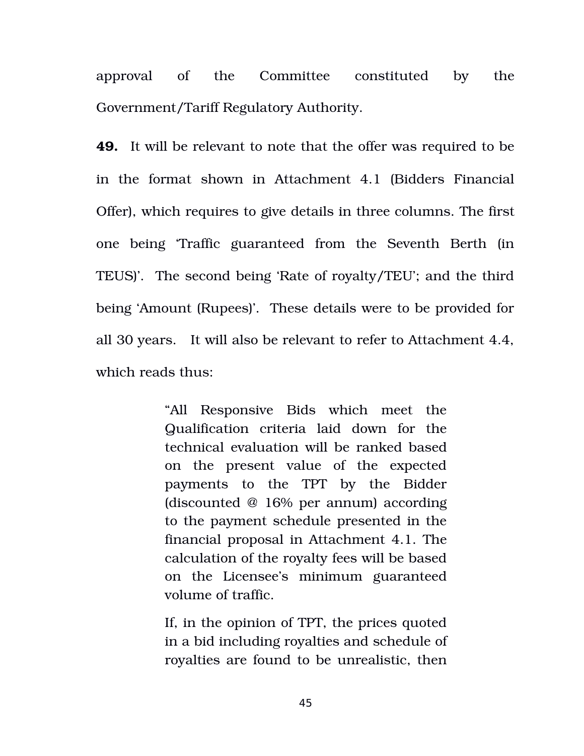approval of the Committee constituted by the Government/Tariff Regulatory Authority.

**49.** It will be relevant to note that the offer was required to be in the format shown in Attachment 4.1 (Bidders Financial Offer), which requires to give details in three columns. The first one being 'Traffic guaranteed from the Seventh Berth (in TEUS)'. The second being 'Rate of royalty/TEU'; and the third being 'Amount (Rupees)'. These details were to be provided for all 30 years. It will also be relevant to refer to Attachment 4.4, which reads thus:

> "All Responsive Bids which meet the Qualification criteria laid down for the technical evaluation will be ranked based on the present value of the expected payments to the TPT by the Bidder (discounted @ 16% per annum) according to the payment schedule presented in the financial proposal in Attachment 4.1. The calculation of the royalty fees will be based on the Licensee's minimum guaranteed volume of traffic.

> If, in the opinion of TPT, the prices quoted in a bid including royalties and schedule of royalties are found to be unrealistic, then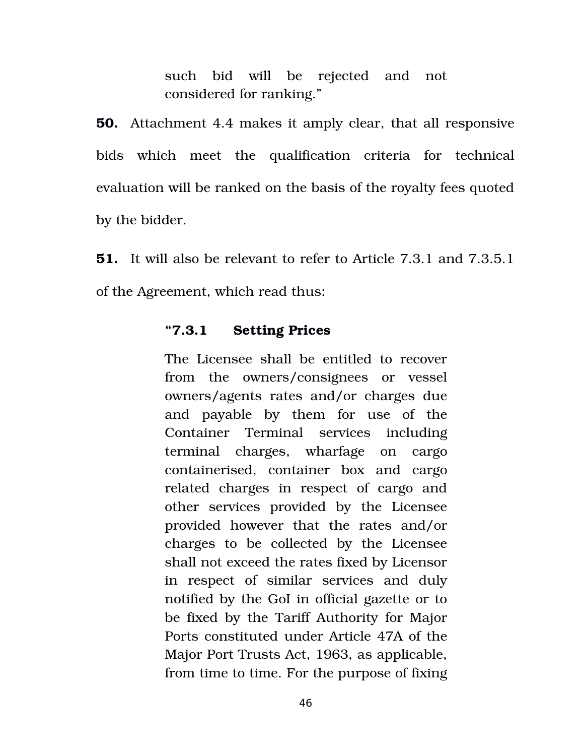such bid will be rejected and not considered for ranking."

**50.** Attachment 4.4 makes it amply clear, that all responsive bids which meet the qualification criteria for technical evaluation will be ranked on the basis of the royalty fees quoted by the bidder.

**51.** It will also be relevant to refer to Article 7.3.1 and 7.3.5.1 of the Agreement, which read thus:

## **"7.3.1 Setting Prices**

The Licensee shall be entitled to recover from the owners/consignees or vessel owners/agents rates and/or charges due and payable by them for use of the Container Terminal services including terminal charges, wharfage on cargo containerised, container box and cargo related charges in respect of cargo and other services provided by the Licensee provided however that the rates and/or charges to be collected by the Licensee shall not exceed the rates fixed by Licensor in respect of similar services and duly notified by the GoI in official gazette or to be fixed by the Tariff Authority for Major Ports constituted under Article 47A of the Major Port Trusts Act, 1963, as applicable, from time to time. For the purpose of fixing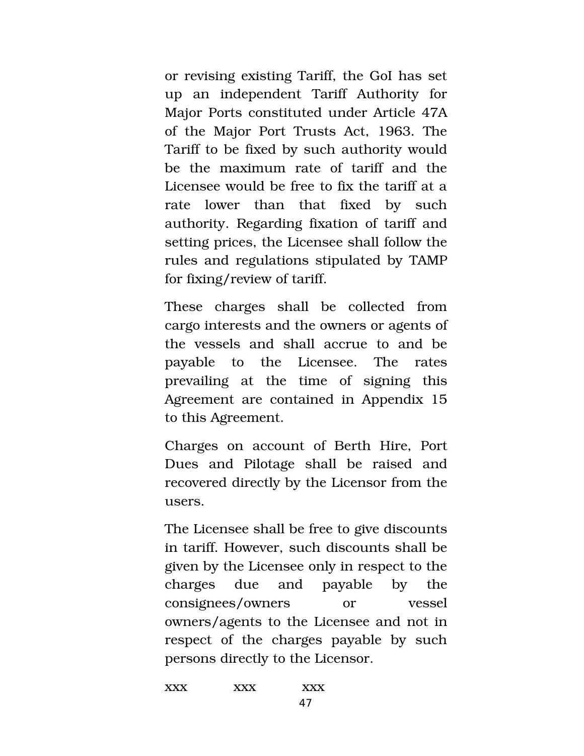or revising existing Tariff, the GoI has set up an independent Tariff Authority for Major Ports constituted under Article 47A of the Major Port Trusts Act, 1963. The Tariff to be fixed by such authority would be the maximum rate of tariff and the Licensee would be free to fix the tariff at a rate lower than that fixed by such authority. Regarding fixation of tariff and setting prices, the Licensee shall follow the rules and regulations stipulated by TAMP for fixing/review of tariff.

These charges shall be collected from cargo interests and the owners or agents of the vessels and shall accrue to and be payable to the Licensee. The rates prevailing at the time of signing this Agreement are contained in Appendix 15 to this Agreement.

Charges on account of Berth Hire, Port Dues and Pilotage shall be raised and recovered directly by the Licensor from the users.

The Licensee shall be free to give discounts in tariff. However, such discounts shall be given by the Licensee only in respect to the charges due and payable by the consignees/owners or vessel owners/agents to the Licensee and not in respect of the charges payable by such persons directly to the Licensor.

xxx xxx xxx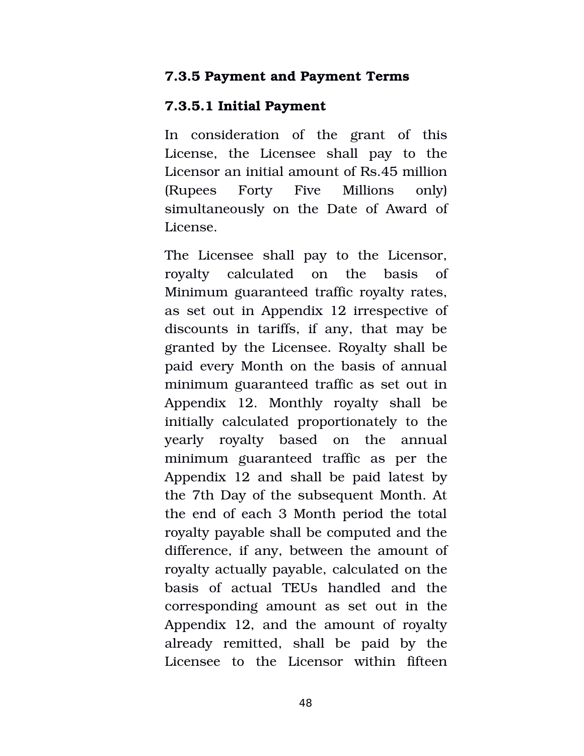## **7.3.5 Payment and Payment Terms**

## **7.3.5.1 Initial Payment**

In consideration of the grant of this License, the Licensee shall pay to the Licensor an initial amount of Rs.45 million (Rupees Forty Five Millions only) simultaneously on the Date of Award of License.

The Licensee shall pay to the Licensor, royalty calculated on the basis of Minimum guaranteed traffic royalty rates, as set out in Appendix 12 irrespective of discounts in tariffs, if any, that may be granted by the Licensee. Royalty shall be paid every Month on the basis of annual minimum guaranteed traffic as set out in Appendix 12. Monthly royalty shall be initially calculated proportionately to the yearly royalty based on the annual minimum guaranteed traffic as per the Appendix 12 and shall be paid latest by the 7th Day of the subsequent Month. At the end of each 3 Month period the total royalty payable shall be computed and the difference, if any, between the amount of royalty actually payable, calculated on the basis of actual TEUs handled and the corresponding amount as set out in the Appendix 12, and the amount of royalty already remitted, shall be paid by the Licensee to the Licensor within fifteen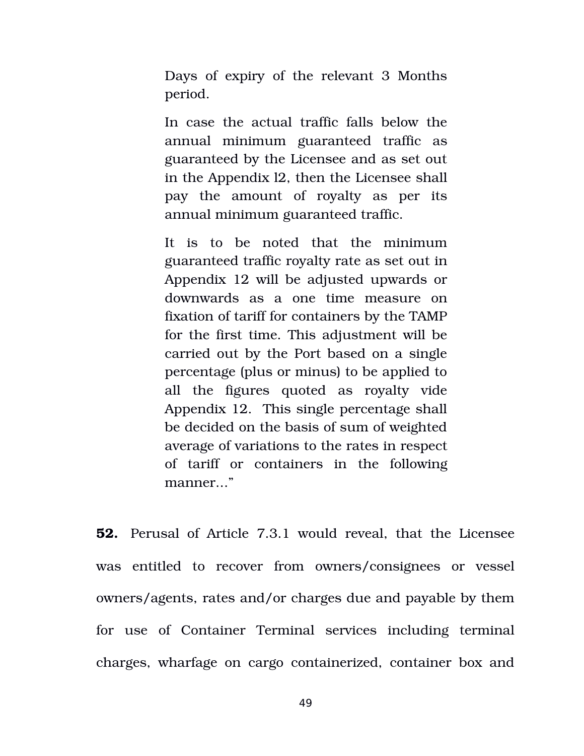Days of expiry of the relevant 3 Months period.

In case the actual traffic falls below the annual minimum guaranteed traffic as guaranteed by the Licensee and as set out in the Appendix l2, then the Licensee shall pay the amount of royalty as per its annual minimum guaranteed traffic.

It is to be noted that the minimum guaranteed traffic royalty rate as set out in Appendix 12 will be adjusted upwards or downwards as a one time measure on fixation of tariff for containers by the TAMP for the first time. This adjustment will be carried out by the Port based on a single percentage (plus or minus) to be applied to all the figures quoted as royalty vide Appendix 12. This single percentage shall be decided on the basis of sum of weighted average of variations to the rates in respect of tariff or containers in the following manner..."

**52.** Perusal of Article 7.3.1 would reveal, that the Licensee was entitled to recover from owners/consignees or vessel owners/agents, rates and/or charges due and payable by them for use of Container Terminal services including terminal charges, wharfage on cargo containerized, container box and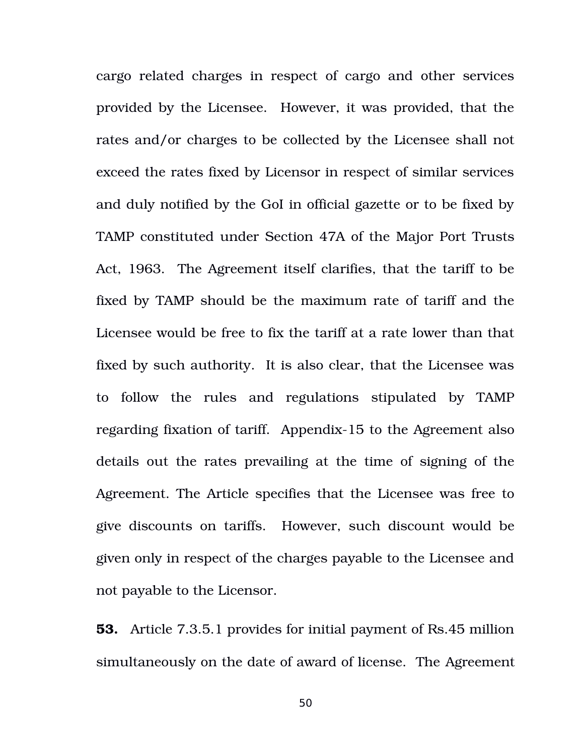cargo related charges in respect of cargo and other services provided by the Licensee. However, it was provided, that the rates and/or charges to be collected by the Licensee shall not exceed the rates fixed by Licensor in respect of similar services and duly notified by the GoI in official gazette or to be fixed by TAMP constituted under Section 47A of the Major Port Trusts Act, 1963. The Agreement itself clarifies, that the tariff to be fixed by TAMP should be the maximum rate of tariff and the Licensee would be free to fix the tariff at a rate lower than that fixed by such authority. It is also clear, that the Licensee was to follow the rules and regulations stipulated by TAMP regarding fixation of tariff. Appendix-15 to the Agreement also details out the rates prevailing at the time of signing of the Agreement. The Article specifies that the Licensee was free to give discounts on tariffs. However, such discount would be given only in respect of the charges payable to the Licensee and not payable to the Licensor.

**53.** Article 7.3.5.1 provides for initial payment of Rs.45 million simultaneously on the date of award of license. The Agreement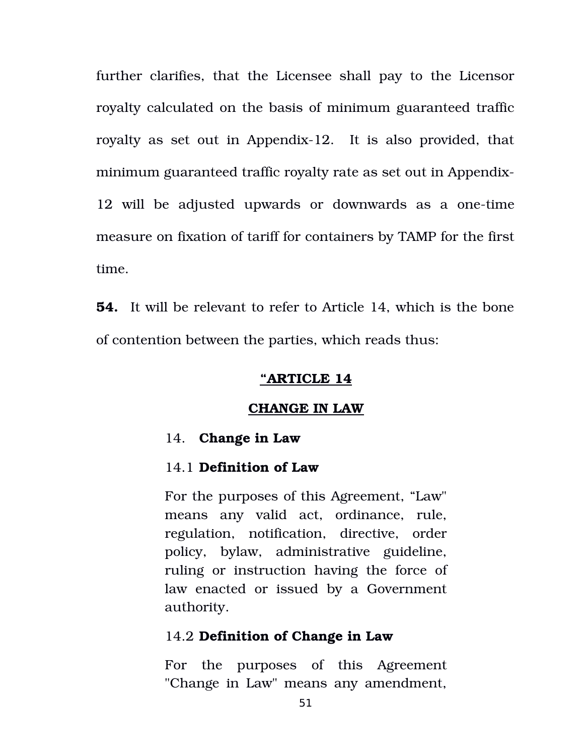further clarifies, that the Licensee shall pay to the Licensor royalty calculated on the basis of minimum guaranteed traffic royalty as set out in Appendix-12. It is also provided, that minimum guaranteed traffic royalty rate as set out in Appendix-12 will be adjusted upwards or downwards as a one-time measure on fixation of tariff for containers by TAMP for the first time.

**54.** It will be relevant to refer to Article 14, which is the bone of contention between the parties, which reads thus:

#### **"ARTICLE 14**

#### **CHANGE IN LAW**

### 14. **Change in Law**

#### 14.1 **Definition of Law**

For the purposes of this Agreement, "Law" means any valid act, ordinance, rule, regulation, notification, directive, order policy, bylaw, administrative guideline, ruling or instruction having the force of law enacted or issued by a Government authority.

## 14.2 **Definition of Change in Law**

For the purposes of this Agreement "Change in Law" means any amendment,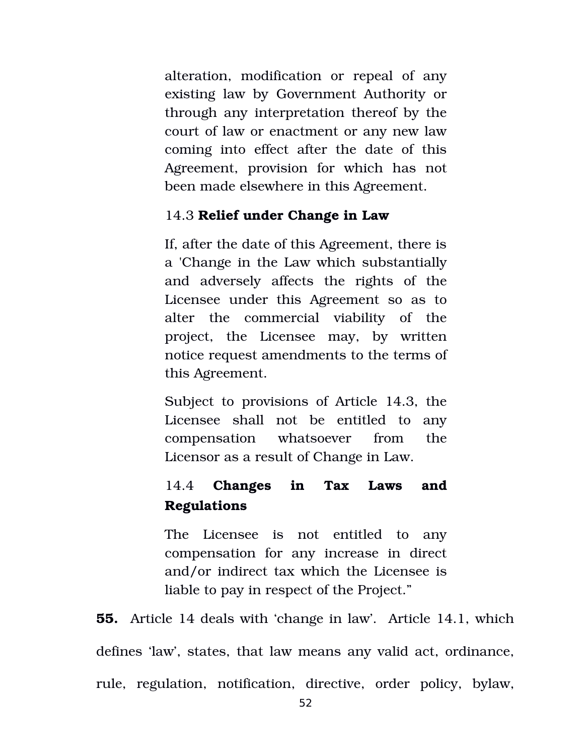alteration, modification or repeal of any existing law by Government Authority or through any interpretation thereof by the court of law or enactment or any new law coming into effect after the date of this Agreement, provision for which has not been made elsewhere in this Agreement.

## 14.3 **Relief under Change in Law**

If, after the date of this Agreement, there is a 'Change in the Law which substantially and adversely affects the rights of the Licensee under this Agreement so as to alter the commercial viability of the project, the Licensee may, by written notice request amendments to the terms of this Agreement.

Subject to provisions of Article 14.3, the Licensee shall not be entitled to any compensation whatsoever from the Licensor as a result of Change in Law.

# 14.4 **Changes in Tax Laws and Regulations**

The Licensee is not entitled to any compensation for any increase in direct and/or indirect tax which the Licensee is liable to pay in respect of the Project."

**55.** Article 14 deals with 'change in law'. Article 14.1, which defines 'law', states, that law means any valid act, ordinance, rule, regulation, notification, directive, order policy, bylaw,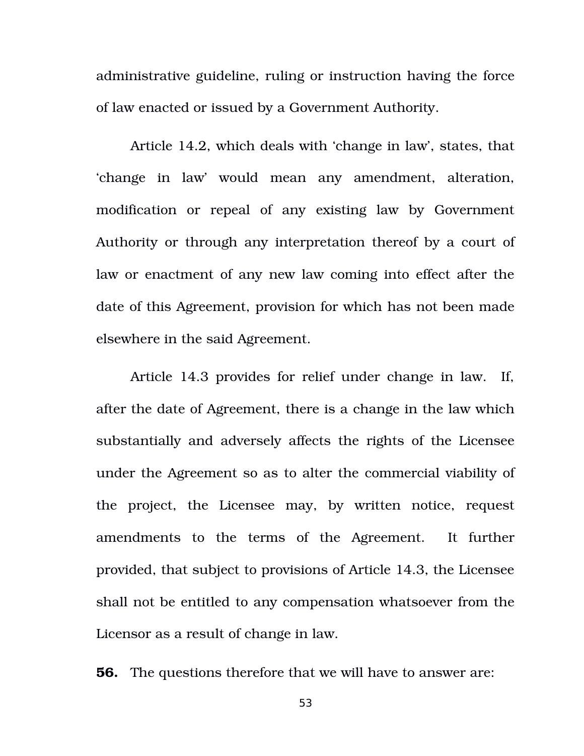administrative guideline, ruling or instruction having the force of law enacted or issued by a Government Authority.

Article 14.2, which deals with 'change in law', states, that 'change in law' would mean any amendment, alteration, modification or repeal of any existing law by Government Authority or through any interpretation thereof by a court of law or enactment of any new law coming into effect after the date of this Agreement, provision for which has not been made elsewhere in the said Agreement.

Article 14.3 provides for relief under change in law. If, after the date of Agreement, there is a change in the law which substantially and adversely affects the rights of the Licensee under the Agreement so as to alter the commercial viability of the project, the Licensee may, by written notice, request amendments to the terms of the Agreement. It further provided, that subject to provisions of Article 14.3, the Licensee shall not be entitled to any compensation whatsoever from the Licensor as a result of change in law.

**56.** The questions therefore that we will have to answer are: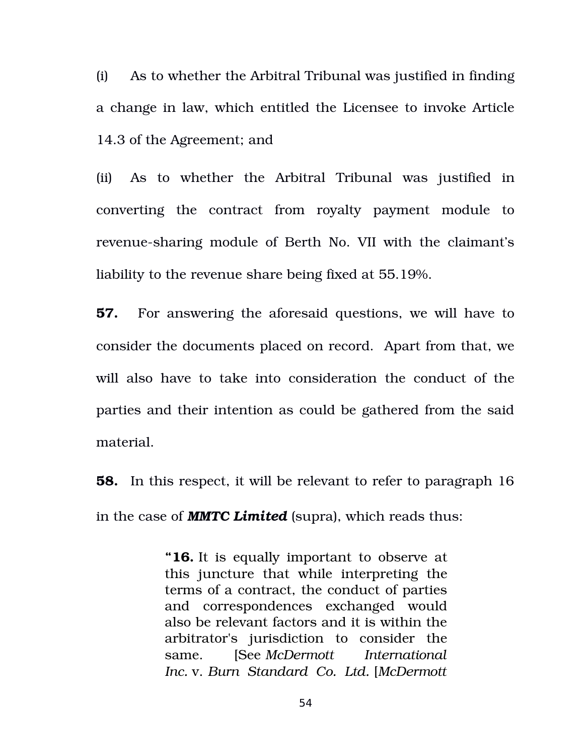(i) As to whether the Arbitral Tribunal was justified in finding a change in law, which entitled the Licensee to invoke Article 14.3 of the Agreement; and

(ii) As to whether the Arbitral Tribunal was justified in converting the contract from royalty payment module to revenue-sharing module of Berth No. VII with the claimant's liability to the revenue share being fixed at 55.19%.

**57.** For answering the aforesaid questions, we will have to consider the documents placed on record. Apart from that, we will also have to take into consideration the conduct of the parties and their intention as could be gathered from the said material.

**58.** In this respect, it will be relevant to refer to paragraph 16 in the case of *MMTC Limited* (supra), which reads thus:

> **"16.** It is equally important to observe at this juncture that while interpreting the terms of a contract, the conduct of parties and correspondences exchanged would also be relevant factors and it is within the arbitrator's jurisdiction to consider the same. [See *McDermott International Inc.* v. *Burn Standard Co. Ltd.* [*McDermott*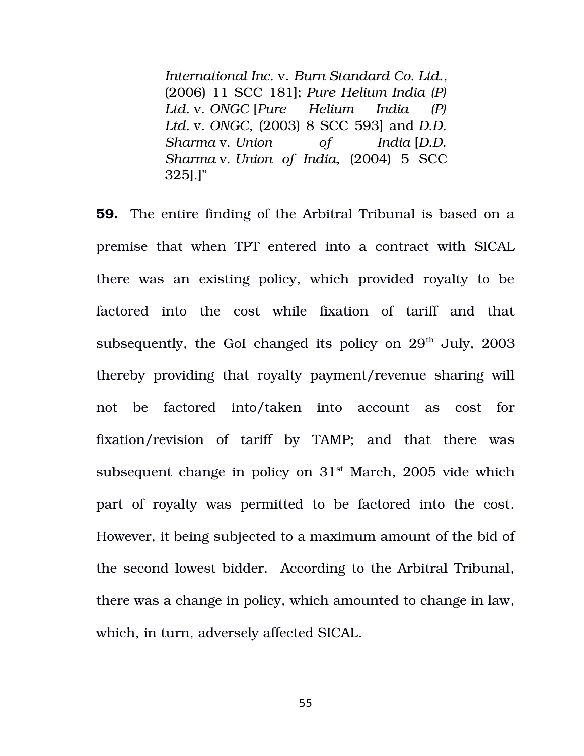*International Inc.* v. *Burn Standard Co. Ltd.*, (2006) 11 SCC 181]; *Pure Helium India (P) Ltd.* v. *ONGC* [*Pure Helium India (P) Ltd.* v. *ONGC*, (2003) 8 SCC 593] and *D.D. Sharma* v. *Union of India* [*D.D. Sharma* v. *Union of India*, (2004) 5 SCC 325].]"

**59.** The entire finding of the Arbitral Tribunal is based on a premise that when TPT entered into a contract with SICAL there was an existing policy, which provided royalty to be factored into the cost while fixation of tariff and that subsequently, the GoI changed its policy on  $29<sup>th</sup>$  July,  $2003$ thereby providing that royalty payment/revenue sharing will not be factored into/taken into account as cost for fixation/revision of tariff by TAMP; and that there was subsequent change in policy on  $31<sup>st</sup>$  March, 2005 vide which part of royalty was permitted to be factored into the cost. However, it being subjected to a maximum amount of the bid of the second lowest bidder. According to the Arbitral Tribunal, there was a change in policy, which amounted to change in law, which, in turn, adversely affected SICAL.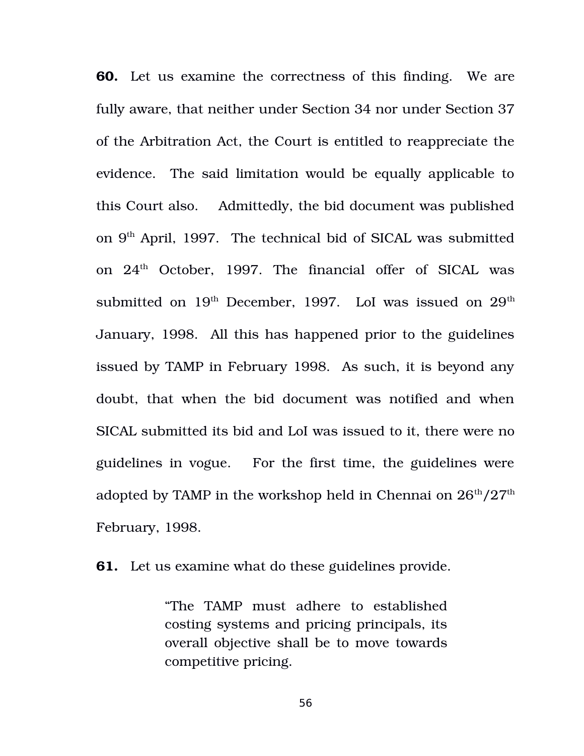**60.** Let us examine the correctness of this finding. We are fully aware, that neither under Section 34 nor under Section 37 of the Arbitration Act, the Court is entitled to reappreciate the evidence. The said limitation would be equally applicable to this Court also. Admittedly, the bid document was published on 9<sup>th</sup> April, 1997. The technical bid of SICAL was submitted on  $24<sup>th</sup>$  October, 1997. The financial offer of SICAL was submitted on  $19<sup>th</sup>$  December, 1997. LoI was issued on  $29<sup>th</sup>$ January, 1998. All this has happened prior to the guidelines issued by TAMP in February 1998. As such, it is beyond any doubt, that when the bid document was notified and when SICAL submitted its bid and LoI was issued to it, there were no guidelines in vogue. For the first time, the guidelines were adopted by TAMP in the workshop held in Chennai on  $26<sup>th</sup>/27<sup>th</sup>$ February, 1998.

**61.** Let us examine what do these guidelines provide.

"The TAMP must adhere to established costing systems and pricing principals, its overall objective shall be to move towards competitive pricing.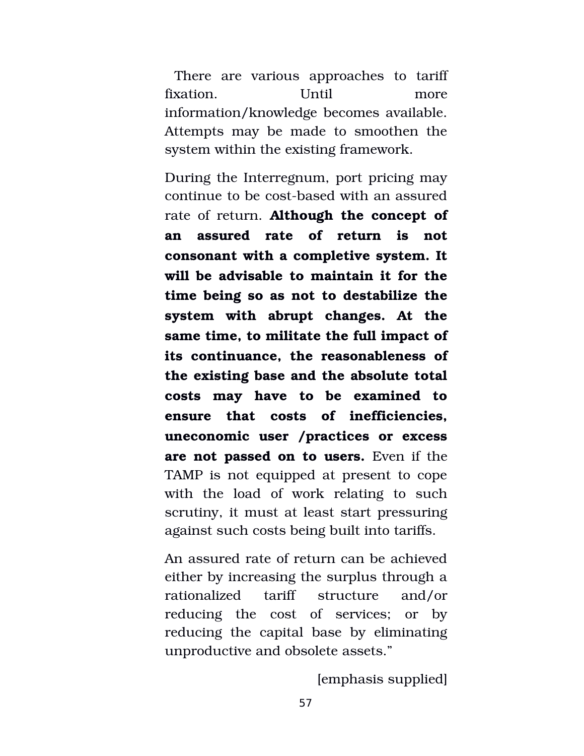There are various approaches to tariff fixation. Until more information/knowledge becomes available. Attempts may be made to smoothen the system within the existing framework.

During the Interregnum, port pricing may continue to be cost-based with an assured rate of return. **Although the concept of an assured rate of return is not consonant with a completive system. It will be advisable to maintain it for the time being so as not to destabilize the system with abrupt changes. At the same time, to militate the full impact of its continuance, the reasonableness of the existing base and the absolute total costs may have to be examined to ensure that costs of inefficiencies, uneconomic user /practices or excess are not passed on to users.** Even if the TAMP is not equipped at present to cope with the load of work relating to such scrutiny, it must at least start pressuring against such costs being built into tariffs.

An assured rate of return can be achieved either by increasing the surplus through a rationalized tariff structure and/or reducing the cost of services; or by reducing the capital base by eliminating unproductive and obsolete assets."

[emphasis supplied]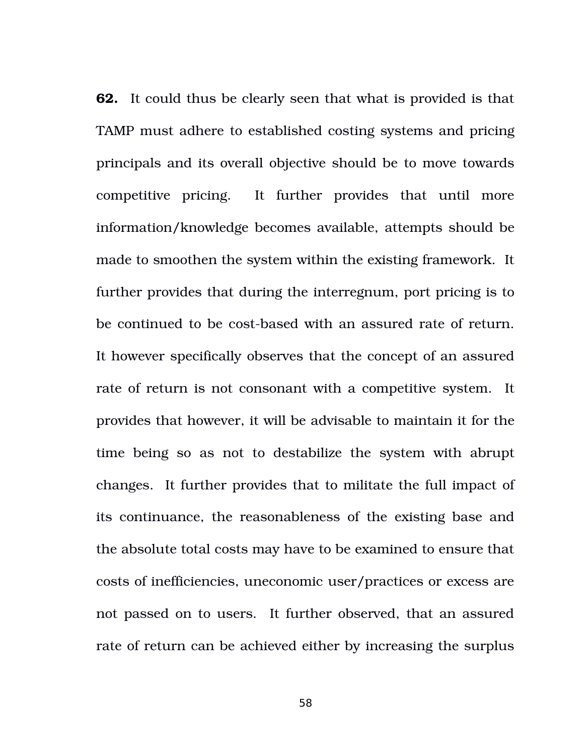**62.** It could thus be clearly seen that what is provided is that TAMP must adhere to established costing systems and pricing principals and its overall objective should be to move towards competitive pricing. It further provides that until more information/knowledge becomes available, attempts should be made to smoothen the system within the existing framework. It further provides that during the interregnum, port pricing is to be continued to be cost-based with an assured rate of return. It however specifically observes that the concept of an assured rate of return is not consonant with a competitive system. It provides that however, it will be advisable to maintain it for the time being so as not to destabilize the system with abrupt changes. It further provides that to militate the full impact of its continuance, the reasonableness of the existing base and the absolute total costs may have to be examined to ensure that costs of inefficiencies, uneconomic user/practices or excess are not passed on to users. It further observed, that an assured rate of return can be achieved either by increasing the surplus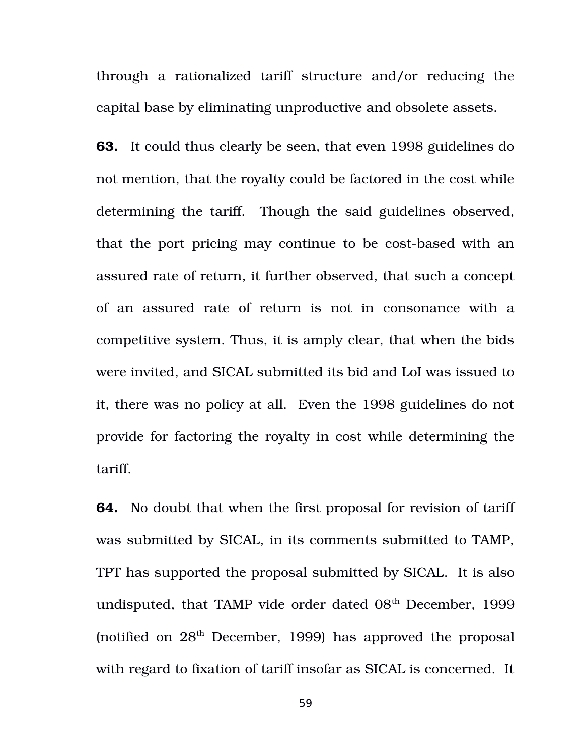through a rationalized tariff structure and/or reducing the capital base by eliminating unproductive and obsolete assets.

**63.** It could thus clearly be seen, that even 1998 guidelines do not mention, that the royalty could be factored in the cost while determining the tariff. Though the said guidelines observed, that the port pricing may continue to be cost-based with an assured rate of return, it further observed, that such a concept of an assured rate of return is not in consonance with a competitive system. Thus, it is amply clear, that when the bids were invited, and SICAL submitted its bid and LoI was issued to it, there was no policy at all. Even the 1998 guidelines do not provide for factoring the royalty in cost while determining the tariff.

**64.** No doubt that when the first proposal for revision of tariff was submitted by SICAL, in its comments submitted to TAMP, TPT has supported the proposal submitted by SICAL. It is also undisputed, that TAMP vide order dated  $08<sup>th</sup>$  December, 1999 (notified on  $28<sup>th</sup>$  December, 1999) has approved the proposal with regard to fixation of tariff insofar as SICAL is concerned. It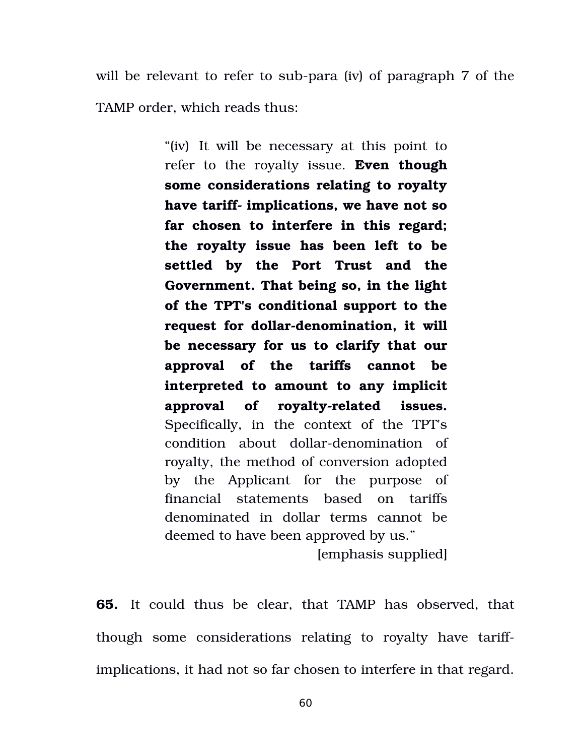will be relevant to refer to sub-para (iv) of paragraph 7 of the TAMP order, which reads thus:

> "(iv) It will be necessary at this point to refer to the royalty issue. **Even though some considerations relating to royalty** have tariff- implications, we have not so **far chosen to interfere in this regard; the royalty issue has been left to be settled by the Port Trust and the Government. That being so, in the light of the TPT's conditional support to the** request for dollar-denomination, it will **be necessary for us to clarify that our approval of the tariffs cannot be interpreted to amount to any implicit** approval of royalty-related issues. Specifically, in the context of the TPT's condition about dollar-denomination of royalty, the method of conversion adopted by the Applicant for the purpose of financial statements based on tariffs denominated in dollar terms cannot be deemed to have been approved by us."

[emphasis supplied]

**65.** It could thus be clear, that TAMP has observed, that though some considerations relating to royalty have tariffimplications, it had not so far chosen to interfere in that regard.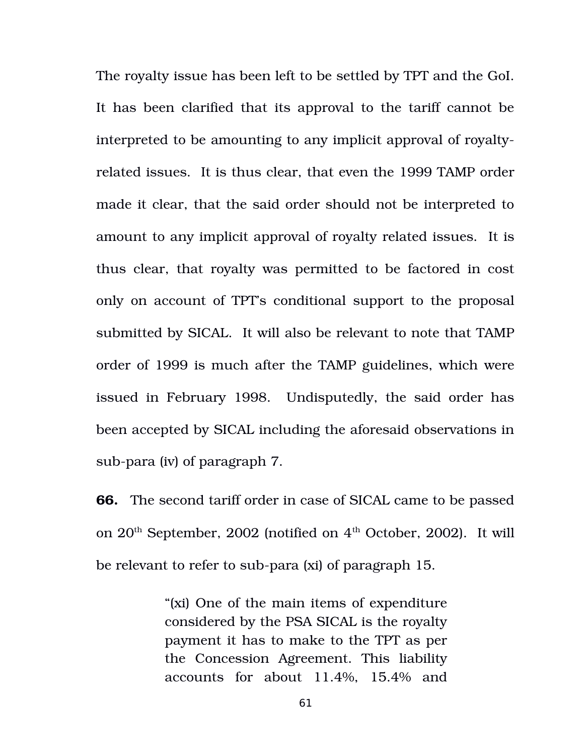The royalty issue has been left to be settled by TPT and the GoI. It has been clarified that its approval to the tariff cannot be interpreted to be amounting to any implicit approval of royaltyrelated issues. It is thus clear, that even the 1999 TAMP order made it clear, that the said order should not be interpreted to amount to any implicit approval of royalty related issues. It is thus clear, that royalty was permitted to be factored in cost only on account of TPT's conditional support to the proposal submitted by SICAL. It will also be relevant to note that TAMP order of 1999 is much after the TAMP guidelines, which were issued in February 1998. Undisputedly, the said order has been accepted by SICAL including the aforesaid observations in sub-para (iv) of paragraph 7.

**66.** The second tariff order in case of SICAL came to be passed on  $20<sup>th</sup>$  September, 2002 (notified on  $4<sup>th</sup>$  October, 2002). It will be relevant to refer to sub-para (xi) of paragraph 15.

> "(xi) One of the main items of expenditure considered by the PSA SICAL is the royalty payment it has to make to the TPT as per the Concession Agreement. This liability accounts for about 11.4%, 15.4% and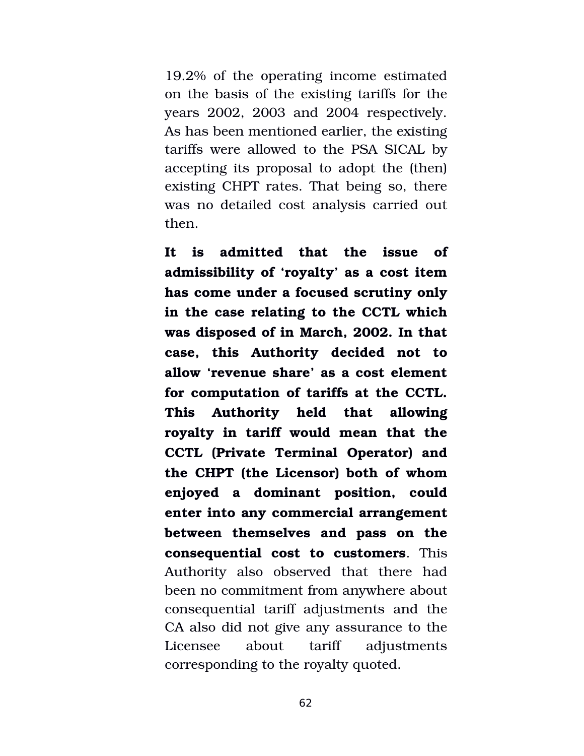19.2% of the operating income estimated on the basis of the existing tariffs for the years 2002, 2003 and 2004 respectively. As has been mentioned earlier, the existing tariffs were allowed to the PSA SICAL by accepting its proposal to adopt the (then) existing CHPT rates. That being so, there was no detailed cost analysis carried out then.

**It is admitted that the issue of admissibility of 'royalty' as a cost item has come under a focused scrutiny only in the case relating to the CCTL which was disposed of in March, 2002. In that case, this Authority decided not to allow 'revenue share' as a cost element for computation of tariffs at the CCTL. This Authority held that allowing royalty in tariff would mean that the CCTL (Private Terminal Operator) and the CHPT (the Licensor) both of whom enjoyed a dominant position, could enter into any commercial arrangement between themselves and pass on the consequential cost to customers**. This Authority also observed that there had been no commitment from anywhere about consequential tariff adjustments and the CA also did not give any assurance to the Licensee about tariff adjustments corresponding to the royalty quoted.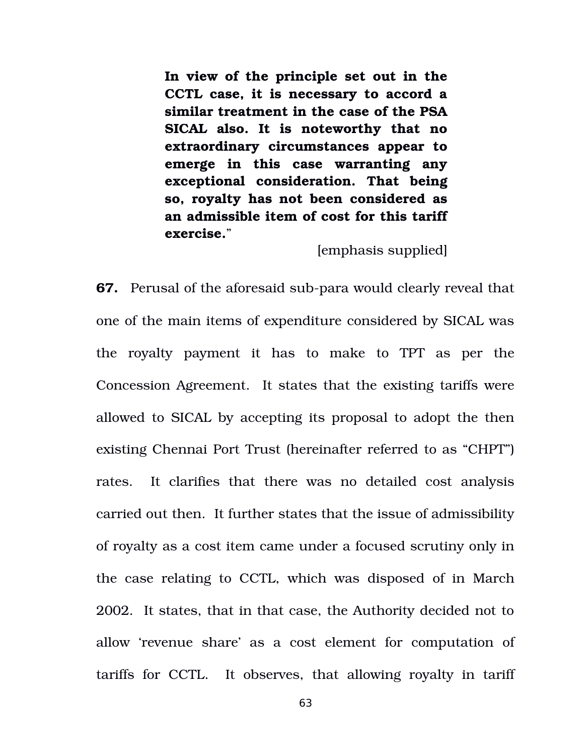**In view of the principle set out in the CCTL case, it is necessary to accord a similar treatment in the case of the PSA SICAL also. It is noteworthy that no extraordinary circumstances appear to emerge in this case warranting any exceptional consideration. That being so, royalty has not been considered as an admissible item of cost for this tariff exercise.**"

[emphasis supplied]

**67.** Perusal of the aforesaid sub-para would clearly reveal that one of the main items of expenditure considered by SICAL was the royalty payment it has to make to TPT as per the Concession Agreement. It states that the existing tariffs were allowed to SICAL by accepting its proposal to adopt the then existing Chennai Port Trust (hereinafter referred to as "CHPT") rates. It clarifies that there was no detailed cost analysis carried out then. It further states that the issue of admissibility of royalty as a cost item came under a focused scrutiny only in the case relating to CCTL, which was disposed of in March 2002. It states, that in that case, the Authority decided not to allow 'revenue share' as a cost element for computation of tariffs for CCTL. It observes, that allowing royalty in tariff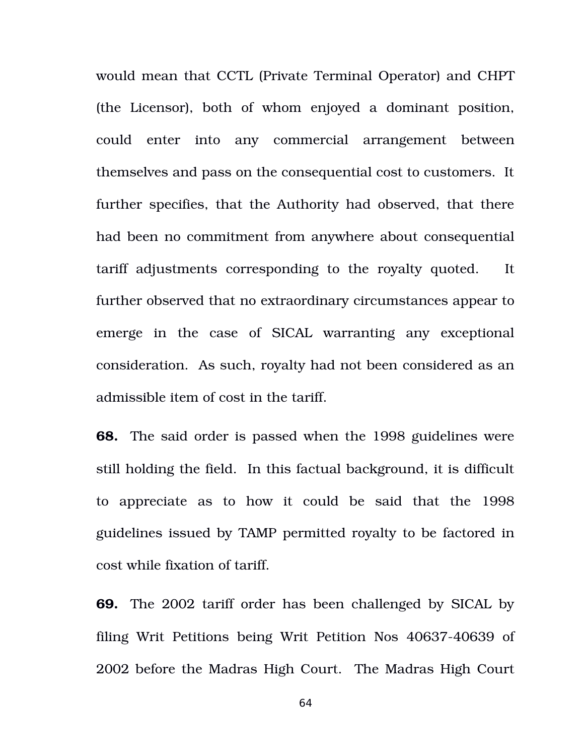would mean that CCTL (Private Terminal Operator) and CHPT (the Licensor), both of whom enjoyed a dominant position, could enter into any commercial arrangement between themselves and pass on the consequential cost to customers. It further specifies, that the Authority had observed, that there had been no commitment from anywhere about consequential tariff adjustments corresponding to the royalty quoted. It further observed that no extraordinary circumstances appear to emerge in the case of SICAL warranting any exceptional consideration. As such, royalty had not been considered as an admissible item of cost in the tariff.

**68.** The said order is passed when the 1998 guidelines were still holding the field. In this factual background, it is difficult to appreciate as to how it could be said that the 1998 guidelines issued by TAMP permitted royalty to be factored in cost while fixation of tariff.

**69.** The 2002 tariff order has been challenged by SICAL by filing Writ Petitions being Writ Petition Nos 40637-40639 of 2002 before the Madras High Court. The Madras High Court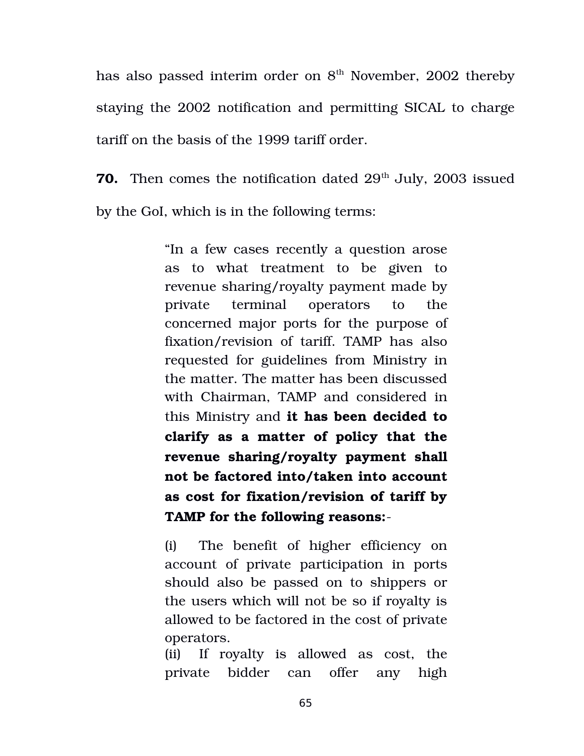has also passed interim order on  $8<sup>th</sup>$  November, 2002 thereby staying the 2002 notification and permitting SICAL to charge tariff on the basis of the 1999 tariff order.

**70.** Then comes the notification dated 29<sup>th</sup> July, 2003 issued by the GoI, which is in the following terms:

> "In a few cases recently a question arose as to what treatment to be given to revenue sharing/royalty payment made by private terminal operators to the concerned major ports for the purpose of fixation/revision of tariff. TAMP has also requested for guidelines from Ministry in the matter. The matter has been discussed with Chairman, TAMP and considered in this Ministry and **it has been decided to clarify as a matter of policy that the revenue sharing/royalty payment shall not be factored into/taken into account as cost for fixation/revision of tariff by TAMP for the following reasons:**

> (i) The benefit of higher efficiency on account of private participation in ports should also be passed on to shippers or the users which will not be so if royalty is allowed to be factored in the cost of private operators.

> (ii) If royalty is allowed as cost, the private bidder can offer any high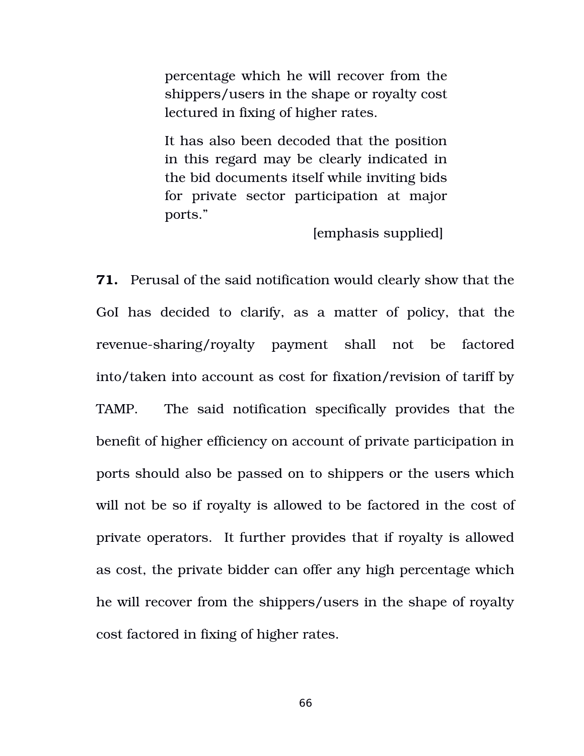percentage which he will recover from the shippers/users in the shape or royalty cost lectured in fixing of higher rates.

It has also been decoded that the position in this regard may be clearly indicated in the bid documents itself while inviting bids for private sector participation at major ports."

[emphasis supplied]

**71.** Perusal of the said notification would clearly show that the GoI has decided to clarify, as a matter of policy, that the revenue-sharing/royalty payment shall not be factored into/taken into account as cost for fixation/revision of tariff by TAMP. The said notification specifically provides that the benefit of higher efficiency on account of private participation in ports should also be passed on to shippers or the users which will not be so if royalty is allowed to be factored in the cost of private operators. It further provides that if royalty is allowed as cost, the private bidder can offer any high percentage which he will recover from the shippers/users in the shape of royalty cost factored in fixing of higher rates.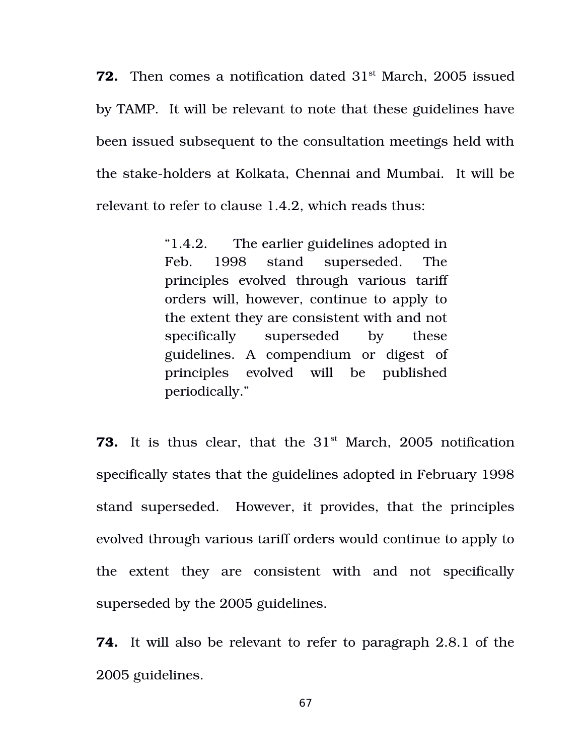**72.** Then comes a notification dated 31<sup>st</sup> March, 2005 issued by TAMP. It will be relevant to note that these guidelines have been issued subsequent to the consultation meetings held with the stake-holders at Kolkata, Chennai and Mumbai. It will be relevant to refer to clause 1.4.2, which reads thus:

> "1.4.2. The earlier guidelines adopted in Feb. 1998 stand superseded. The principles evolved through various tariff orders will, however, continue to apply to the extent they are consistent with and not specifically superseded by these guidelines. A compendium or digest of principles evolved will be published periodically."

**73.** It is thus clear, that the 31<sup>st</sup> March, 2005 notification specifically states that the guidelines adopted in February 1998 stand superseded. However, it provides, that the principles evolved through various tariff orders would continue to apply to the extent they are consistent with and not specifically superseded by the 2005 guidelines.

**74.** It will also be relevant to refer to paragraph 2.8.1 of the 2005 guidelines.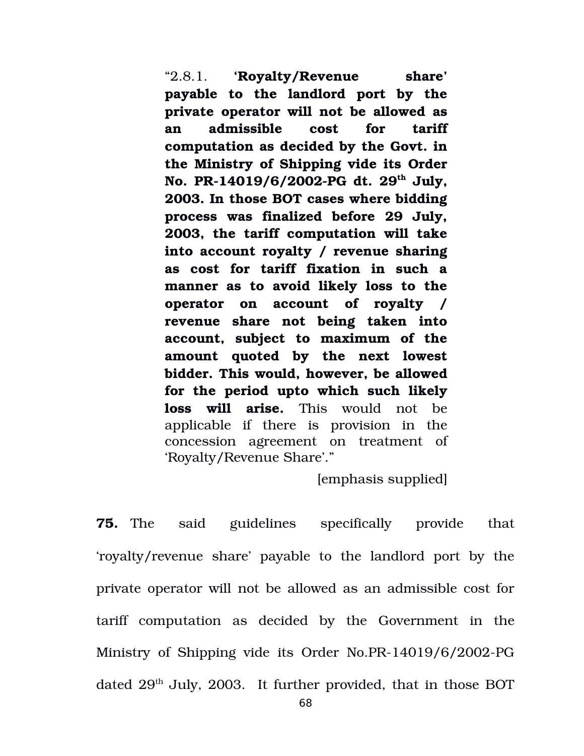"2.8.1. **'Royalty/Revenue share' payable to the landlord port by the private operator will not be allowed as an admissible cost for tariff computation as decided by the Govt. in the Ministry of Shipping vide its Order No. PR14019/6/2002PG dt. 29th July, 2003. In those BOT cases where bidding process was finalized before 29 July, 2003, the tariff computation will take into account royalty / revenue sharing as cost for tariff fixation in such a manner as to avoid likely loss to the operator on account of royalty / revenue share not being taken into account, subject to maximum of the amount quoted by the next lowest bidder. This would, however, be allowed for the period upto which such likely loss will arise.** This would not be applicable if there is provision in the concession agreement on treatment of 'Royalty/Revenue Share'."

[emphasis supplied]

**75.** The said guidelines specifically provide that 'royalty/revenue share' payable to the landlord port by the private operator will not be allowed as an admissible cost for tariff computation as decided by the Government in the Ministry of Shipping vide its Order No.PR-14019/6/2002-PG dated  $29<sup>th</sup>$  July, 2003. It further provided, that in those BOT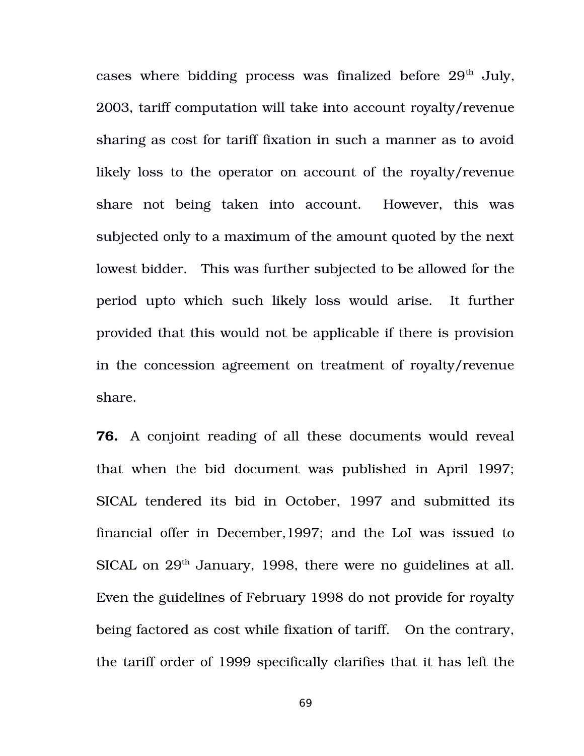cases where bidding process was finalized before  $29<sup>th</sup>$  July, 2003, tariff computation will take into account royalty/revenue sharing as cost for tariff fixation in such a manner as to avoid likely loss to the operator on account of the royalty/revenue share not being taken into account. However, this was subjected only to a maximum of the amount quoted by the next lowest bidder. This was further subjected to be allowed for the period upto which such likely loss would arise. It further provided that this would not be applicable if there is provision in the concession agreement on treatment of royalty/revenue share.

**76.** A conjoint reading of all these documents would reveal that when the bid document was published in April 1997; SICAL tendered its bid in October, 1997 and submitted its financial offer in December,1997; and the LoI was issued to SICAL on 29<sup>th</sup> January, 1998, there were no guidelines at all. Even the guidelines of February 1998 do not provide for royalty being factored as cost while fixation of tariff. On the contrary, the tariff order of 1999 specifically clarifies that it has left the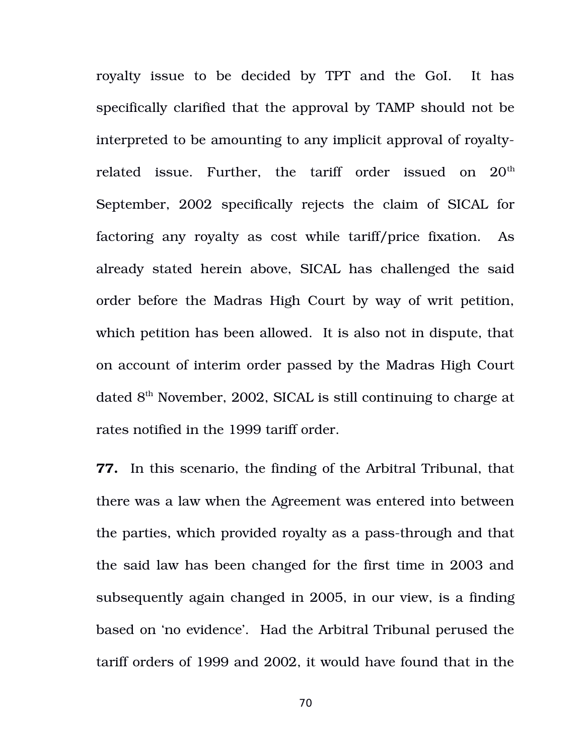royalty issue to be decided by TPT and the GoI. It has specifically clarified that the approval by TAMP should not be interpreted to be amounting to any implicit approval of royaltyrelated issue. Further, the tariff order issued on  $20<sup>th</sup>$ September, 2002 specifically rejects the claim of SICAL for factoring any royalty as cost while tariff/price fixation. As already stated herein above, SICAL has challenged the said order before the Madras High Court by way of writ petition, which petition has been allowed. It is also not in dispute, that on account of interim order passed by the Madras High Court dated  $8<sup>th</sup>$  November, 2002, SICAL is still continuing to charge at rates notified in the 1999 tariff order.

**77.** In this scenario, the finding of the Arbitral Tribunal, that there was a law when the Agreement was entered into between the parties, which provided royalty as a pass-through and that the said law has been changed for the first time in 2003 and subsequently again changed in 2005, in our view, is a finding based on 'no evidence'. Had the Arbitral Tribunal perused the tariff orders of 1999 and 2002, it would have found that in the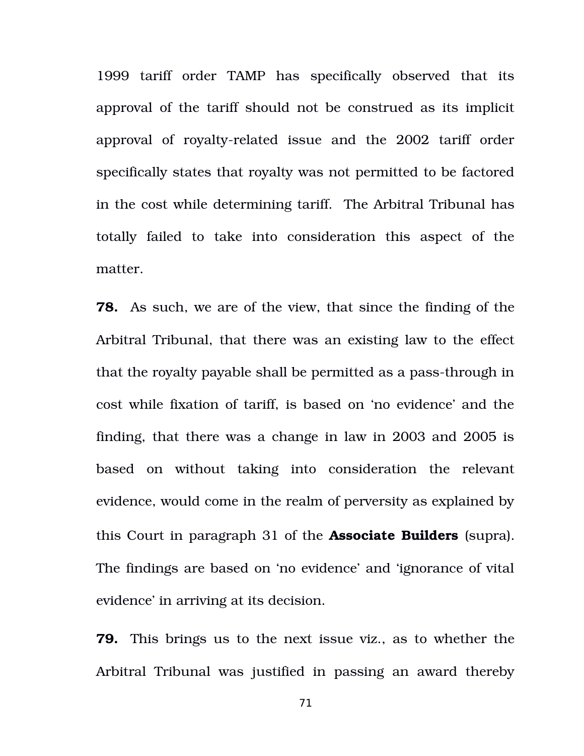1999 tariff order TAMP has specifically observed that its approval of the tariff should not be construed as its implicit approval of royalty-related issue and the 2002 tariff order specifically states that royalty was not permitted to be factored in the cost while determining tariff. The Arbitral Tribunal has totally failed to take into consideration this aspect of the matter.

**78.** As such, we are of the view, that since the finding of the Arbitral Tribunal, that there was an existing law to the effect that the royalty payable shall be permitted as a pass-through in cost while fixation of tariff, is based on 'no evidence' and the finding, that there was a change in law in 2003 and 2005 is based on without taking into consideration the relevant evidence, would come in the realm of perversity as explained by this Court in paragraph 31 of the **Associate Builders** (supra). The findings are based on 'no evidence' and 'ignorance of vital evidence' in arriving at its decision.

**79.** This brings us to the next issue viz., as to whether the Arbitral Tribunal was justified in passing an award thereby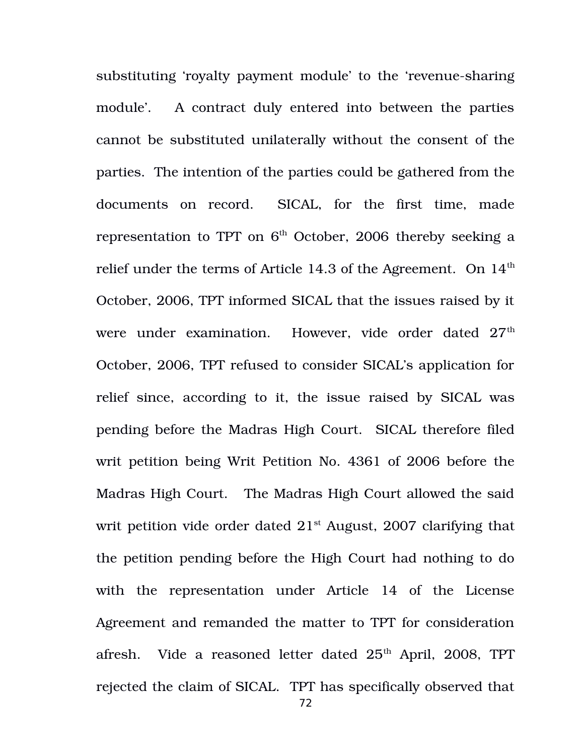substituting 'royalty payment module' to the 'revenue-sharing module'. A contract duly entered into between the parties cannot be substituted unilaterally without the consent of the parties. The intention of the parties could be gathered from the documents on record. SICAL, for the first time, made representation to TPT on  $6<sup>th</sup>$  October, 2006 thereby seeking a relief under the terms of Article 14.3 of the Agreement. On  $14<sup>th</sup>$ October, 2006, TPT informed SICAL that the issues raised by it were under examination. However, vide order dated 27<sup>th</sup> October, 2006, TPT refused to consider SICAL's application for relief since, according to it, the issue raised by SICAL was pending before the Madras High Court. SICAL therefore filed writ petition being Writ Petition No. 4361 of 2006 before the Madras High Court. The Madras High Court allowed the said writ petition vide order dated  $21<sup>st</sup>$  August, 2007 clarifying that the petition pending before the High Court had nothing to do with the representation under Article 14 of the License Agreement and remanded the matter to TPT for consideration afresh. Vide a reasoned letter dated  $25<sup>th</sup>$  April, 2008, TPT rejected the claim of SICAL. TPT has specifically observed that 72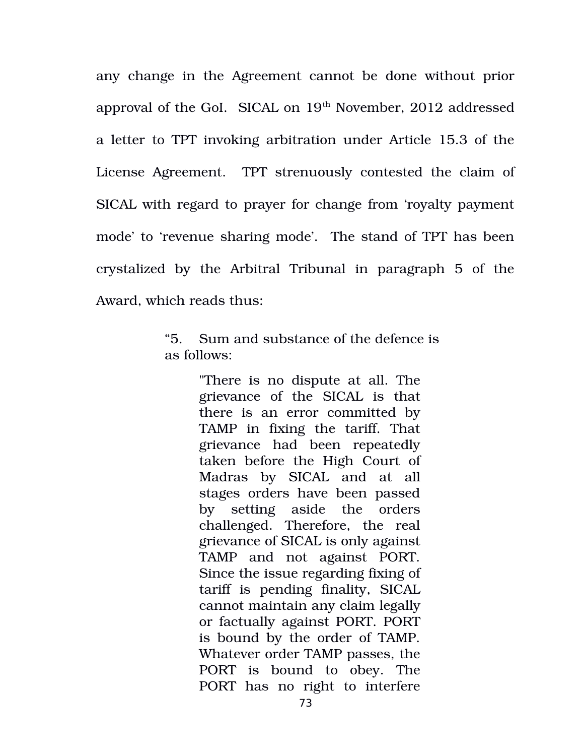any change in the Agreement cannot be done without prior approval of the GoI. SICAL on 19<sup>th</sup> November, 2012 addressed a letter to TPT invoking arbitration under Article 15.3 of the License Agreement. TPT strenuously contested the claim of SICAL with regard to prayer for change from 'royalty payment mode' to 'revenue sharing mode'. The stand of TPT has been crystalized by the Arbitral Tribunal in paragraph 5 of the Award, which reads thus:

> "5. Sum and substance of the defence is as follows:

> > "There is no dispute at all. The grievance of the SICAL is that there is an error committed by TAMP in fixing the tariff. That grievance had been repeatedly taken before the High Court of Madras by SICAL and at all stages orders have been passed by setting aside the orders challenged. Therefore, the real grievance of SICAL is only against TAMP and not against PORT. Since the issue regarding fixing of tariff is pending finality, SICAL cannot maintain any claim legally or factually against PORT. PORT is bound by the order of TAMP. Whatever order TAMP passes, the PORT is bound to obey. The PORT has no right to interfere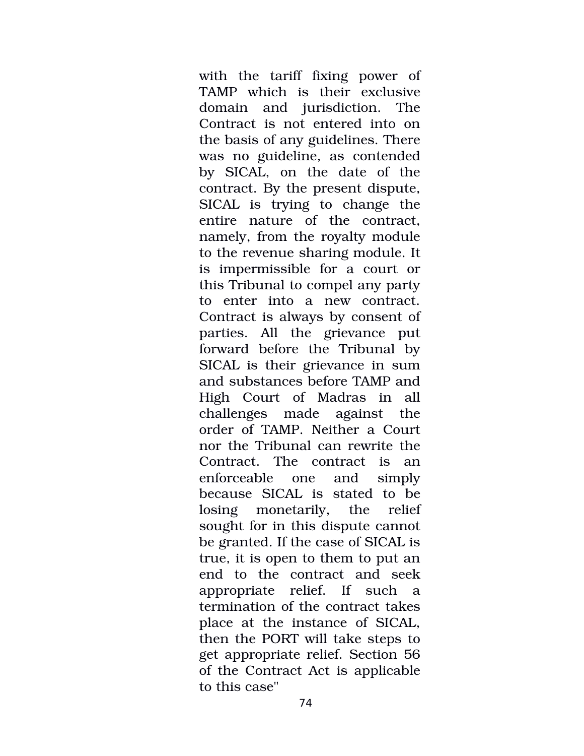with the tariff fixing power of TAMP which is their exclusive domain and jurisdiction. The Contract is not entered into on the basis of any guidelines. There was no guideline, as contended by SICAL, on the date of the contract. By the present dispute, SICAL is trying to change the entire nature of the contract, namely, from the royalty module to the revenue sharing module. It is impermissible for a court or this Tribunal to compel any party to enter into a new contract. Contract is always by consent of parties. All the grievance put forward before the Tribunal by SICAL is their grievance in sum and substances before TAMP and High Court of Madras in all challenges made against the order of TAMP. Neither a Court nor the Tribunal can rewrite the Contract. The contract is an enforceable one and simply because SICAL is stated to be losing monetarily, the relief sought for in this dispute cannot be granted. If the case of SICAL is true, it is open to them to put an end to the contract and seek appropriate relief. If such a termination of the contract takes place at the instance of SICAL, then the PORT will take steps to get appropriate relief. Section 56 of the Contract Act is applicable to this case"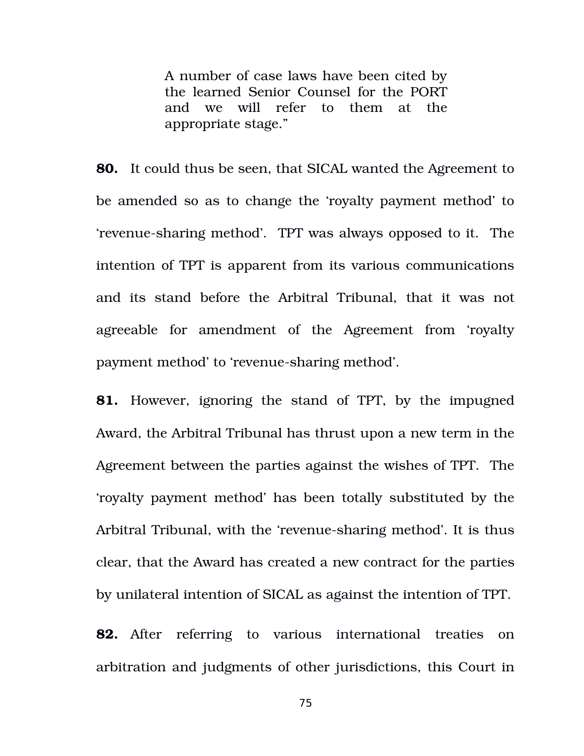A number of case laws have been cited by the learned Senior Counsel for the PORT and we will refer to them at the appropriate stage."

**80.** It could thus be seen, that SICAL wanted the Agreement to be amended so as to change the 'royalty payment method' to 'revenue-sharing method'. TPT was always opposed to it. The intention of TPT is apparent from its various communications and its stand before the Arbitral Tribunal, that it was not agreeable for amendment of the Agreement from 'royalty payment method' to 'revenue-sharing method'.

**81.** However, ignoring the stand of TPT, by the impugned Award, the Arbitral Tribunal has thrust upon a new term in the Agreement between the parties against the wishes of TPT. The 'royalty payment method' has been totally substituted by the Arbitral Tribunal, with the 'revenue-sharing method'. It is thus clear, that the Award has created a new contract for the parties by unilateral intention of SICAL as against the intention of TPT.

**82.** After referring to various international treaties on arbitration and judgments of other jurisdictions, this Court in

75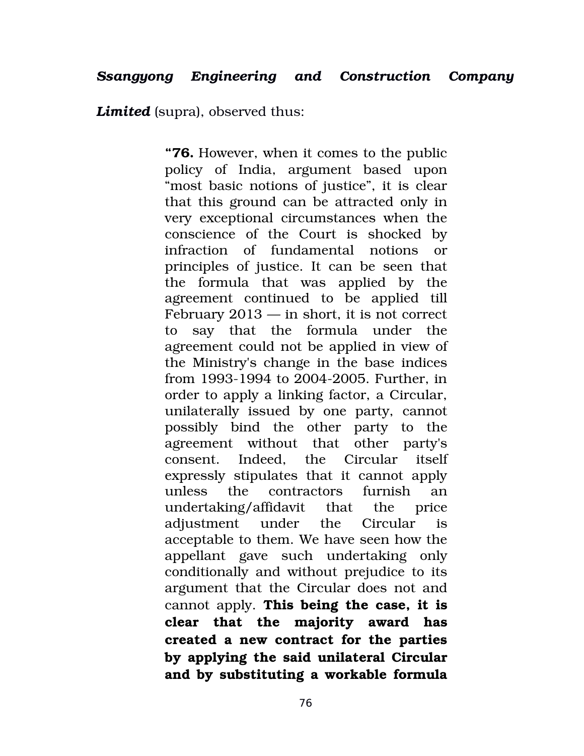*Limited* (supra), observed thus:

**"76.** However, when it comes to the public policy of India, argument based upon "most basic notions of justice", it is clear that this ground can be attracted only in very exceptional circumstances when the conscience of the Court is shocked by infraction of fundamental notions or principles of justice. It can be seen that the formula that was applied by the agreement continued to be applied till February 2013 — in short, it is not correct to say that the formula under the agreement could not be applied in view of the Ministry's change in the base indices from 1993-1994 to 2004-2005. Further, in order to apply a linking factor, a Circular, unilaterally issued by one party, cannot possibly bind the other party to the agreement without that other party's consent. Indeed, the Circular itself expressly stipulates that it cannot apply unless the contractors furnish an undertaking/affidavit that the price adjustment under the Circular is acceptable to them. We have seen how the appellant gave such undertaking only conditionally and without prejudice to its argument that the Circular does not and cannot apply. **This being the case, it is clear that the majority award has created a new contract for the parties by applying the said unilateral Circular and by substituting a workable formula**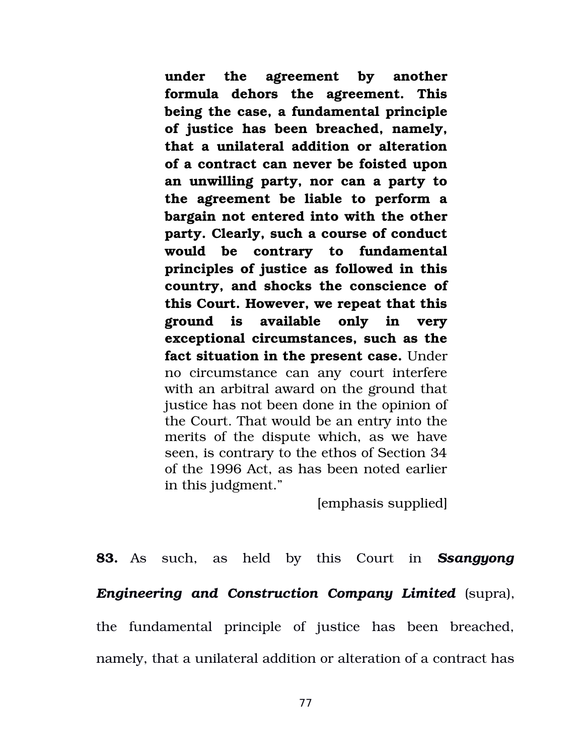**under the agreement by another formula dehors the agreement. This being the case, a fundamental principle of justice has been breached, namely, that a unilateral addition or alteration of a contract can never be foisted upon an unwilling party, nor can a party to the agreement be liable to perform a bargain not entered into with the other party. Clearly, such a course of conduct would be contrary to fundamental principles of justice as followed in this country, and shocks the conscience of this Court. However, we repeat that this ground is available only in very exceptional circumstances, such as the fact situation in the present case.** Under no circumstance can any court interfere with an arbitral award on the ground that justice has not been done in the opinion of the Court. That would be an entry into the merits of the dispute which, as we have seen, is contrary to the ethos of Section 34 of the 1996 Act, as has been noted earlier in this judgment."

[emphasis supplied]

**83.** As such, as held by this Court in *Ssangyong Engineering and Construction Company Limited* (supra), the fundamental principle of justice has been breached, namely, that a unilateral addition or alteration of a contract has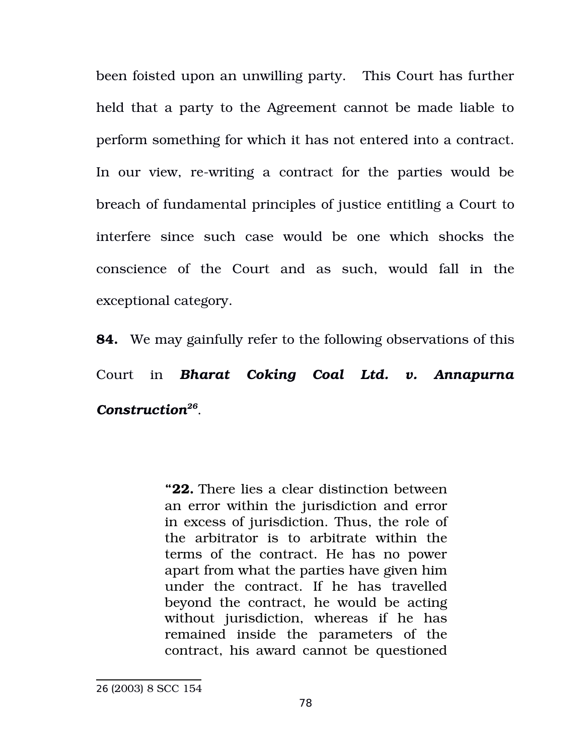been foisted upon an unwilling party. This Court has further held that a party to the Agreement cannot be made liable to perform something for which it has not entered into a contract. In our view, re-writing a contract for the parties would be breach of fundamental principles of justice entitling a Court to interfere since such case would be one which shocks the conscience of the Court and as such, would fall in the exceptional category.

**84.** We may gainfully refer to the following observations of this Court in *Bharat Coking Coal Ltd. v. Annapurna Construction[26](#page-77-0)* .

> **"22.** There lies a clear distinction between an error within the jurisdiction and error in excess of jurisdiction. Thus, the role of the arbitrator is to arbitrate within the terms of the contract. He has no power apart from what the parties have given him under the contract. If he has travelled beyond the contract, he would be acting without jurisdiction, whereas if he has remained inside the parameters of the contract, his award cannot be questioned

<span id="page-77-0"></span><sup>26</sup> (2003) 8 SCC 154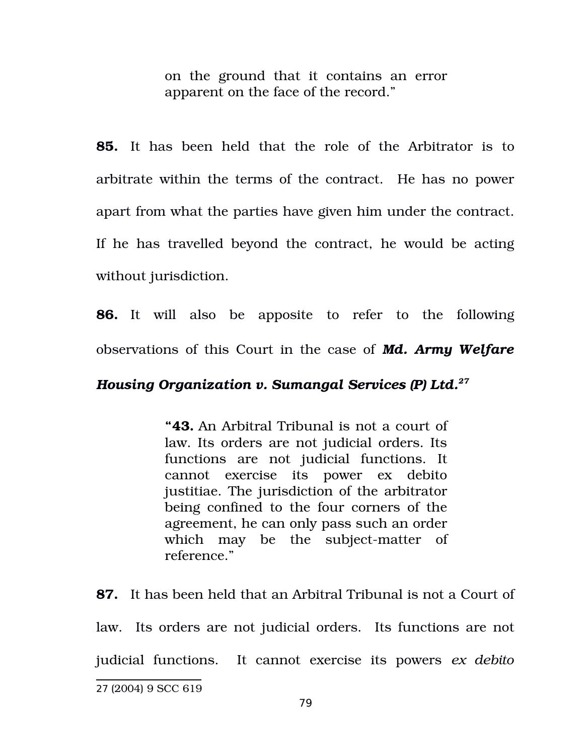on the ground that it contains an error apparent on the face of the record."

**85.** It has been held that the role of the Arbitrator is to arbitrate within the terms of the contract. He has no power apart from what the parties have given him under the contract. If he has travelled beyond the contract, he would be acting without jurisdiction.

**86.** It will also be apposite to refer to the following observations of this Court in the case of *Md. Army Welfare*

## *Housing Organization v. Sumangal Services (P) Ltd.[27](#page-78-0)*

**"43.** An Arbitral Tribunal is not a court of law. Its orders are not judicial orders. Its functions are not judicial functions. It cannot exercise its power ex debito justitiae. The jurisdiction of the arbitrator being confined to the four corners of the agreement, he can only pass such an order which may be the subject-matter of reference."

**87.** It has been held that an Arbitral Tribunal is not a Court of law. Its orders are not judicial orders. Its functions are not judicial functions. It cannot exercise its powers *ex debito*

<span id="page-78-0"></span><sup>27</sup> (2004) 9 SCC 619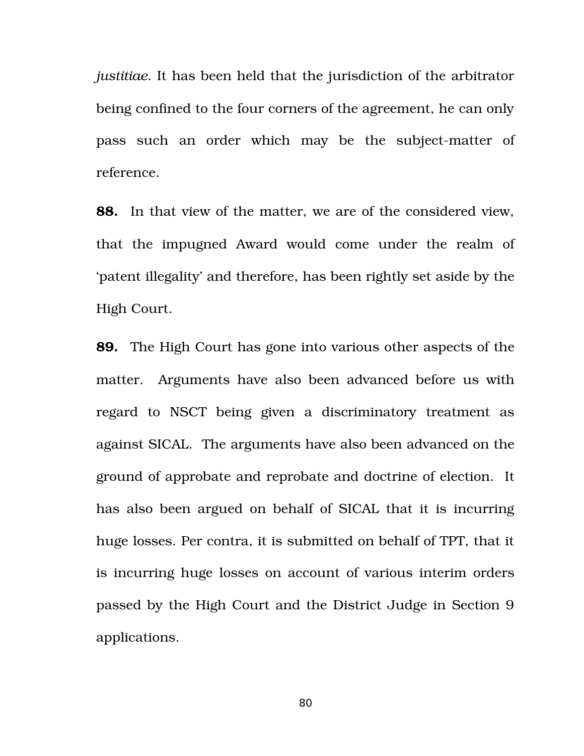*justitiae*. It has been held that the jurisdiction of the arbitrator being confined to the four corners of the agreement, he can only pass such an order which may be the subject-matter of reference.

**88.** In that view of the matter, we are of the considered view, that the impugned Award would come under the realm of 'patent illegality' and therefore, has been rightly set aside by the High Court.

**89.** The High Court has gone into various other aspects of the matter. Arguments have also been advanced before us with regard to NSCT being given a discriminatory treatment as against SICAL. The arguments have also been advanced on the ground of approbate and reprobate and doctrine of election. It has also been argued on behalf of SICAL that it is incurring huge losses. Per contra, it is submitted on behalf of TPT, that it is incurring huge losses on account of various interim orders passed by the High Court and the District Judge in Section 9 applications.

80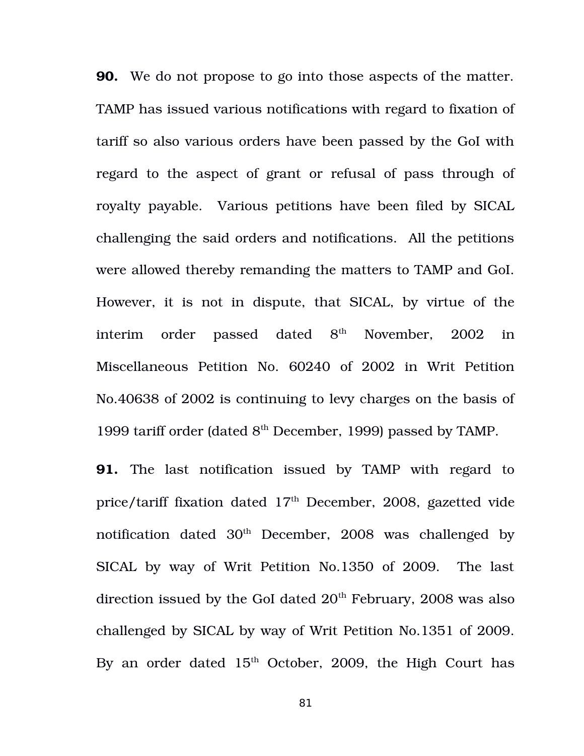**90.** We do not propose to go into those aspects of the matter. TAMP has issued various notifications with regard to fixation of tariff so also various orders have been passed by the GoI with regard to the aspect of grant or refusal of pass through of royalty payable. Various petitions have been filed by SICAL challenging the said orders and notifications. All the petitions were allowed thereby remanding the matters to TAMP and GoI. However, it is not in dispute, that SICAL, by virtue of the interim order passed dated  $8<sup>th</sup>$  November, 2002 in Miscellaneous Petition No. 60240 of 2002 in Writ Petition No.40638 of 2002 is continuing to levy charges on the basis of 1999 tariff order (dated  $8<sup>th</sup>$  December, 1999) passed by TAMP.

**91.** The last notification issued by TAMP with regard to price/tariff fixation dated 17<sup>th</sup> December, 2008, gazetted vide notification dated  $30<sup>th</sup>$  December, 2008 was challenged by SICAL by way of Writ Petition No.1350 of 2009. The last direction issued by the GoI dated  $20<sup>th</sup>$  February, 2008 was also challenged by SICAL by way of Writ Petition No.1351 of 2009. By an order dated  $15<sup>th</sup>$  October, 2009, the High Court has

81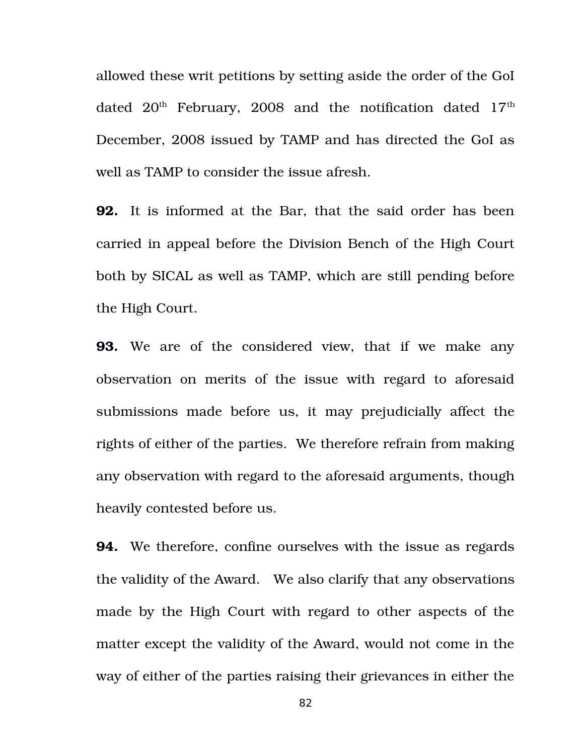allowed these writ petitions by setting aside the order of the GoI dated  $20<sup>th</sup>$  February, 2008 and the notification dated  $17<sup>th</sup>$ December, 2008 issued by TAMP and has directed the GoI as well as TAMP to consider the issue afresh.

**92.** It is informed at the Bar, that the said order has been carried in appeal before the Division Bench of the High Court both by SICAL as well as TAMP, which are still pending before the High Court.

**93.** We are of the considered view, that if we make any observation on merits of the issue with regard to aforesaid submissions made before us, it may prejudicially affect the rights of either of the parties. We therefore refrain from making any observation with regard to the aforesaid arguments, though heavily contested before us.

**94.** We therefore, confine ourselves with the issue as regards the validity of the Award. We also clarify that any observations made by the High Court with regard to other aspects of the matter except the validity of the Award, would not come in the way of either of the parties raising their grievances in either the